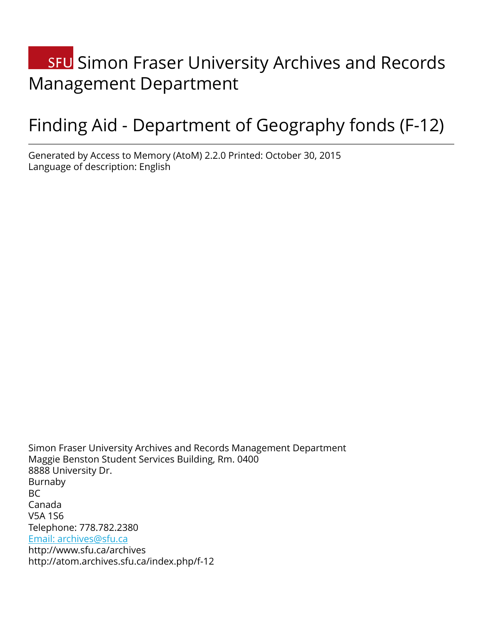# **SFU** Simon Fraser University Archives and Records Management Department

# Finding Aid - Department of Geography fonds (F-12)

Generated by Access to Memory (AtoM) 2.2.0 Printed: October 30, 2015 Language of description: English

Simon Fraser University Archives and Records Management Department Maggie Benston Student Services Building, Rm. 0400 8888 University Dr. Burnaby BC Canada V5A 1S6 Telephone: 778.782.2380 [Email: archives@sfu.ca](mailto:Email: archives@sfu.ca) http://www.sfu.ca/archives http://atom.archives.sfu.ca/index.php/f-12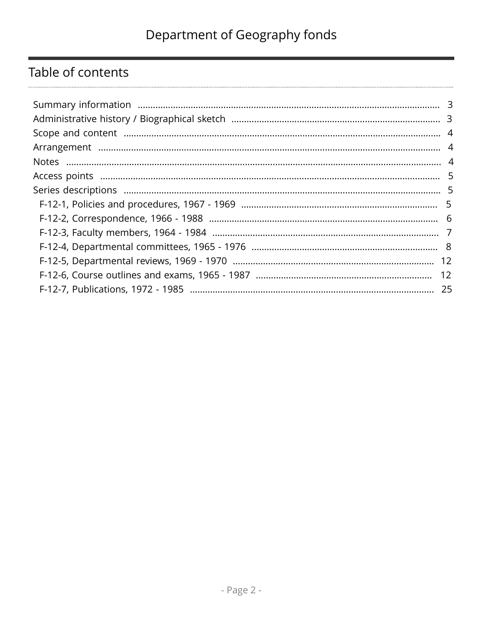# Table of contents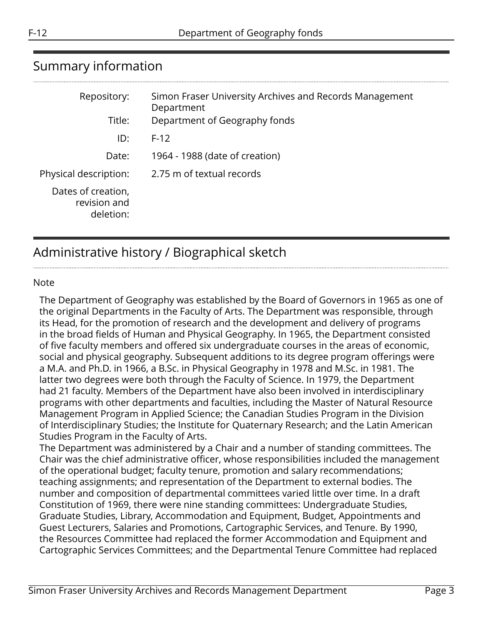## <span id="page-2-0"></span>Summary information

| Repository:                                     | Simon Fraser University Archives and Records Management<br>Department |
|-------------------------------------------------|-----------------------------------------------------------------------|
| Title:                                          | Department of Geography fonds                                         |
| ID:                                             | $F-12$                                                                |
| Date:                                           | 1964 - 1988 (date of creation)                                        |
| Physical description:                           | 2.75 m of textual records                                             |
| Dates of creation,<br>revision and<br>deletion: |                                                                       |

# <span id="page-2-1"></span>Administrative history / Biographical sketch

#### Note

The Department of Geography was established by the Board of Governors in 1965 as one of the original Departments in the Faculty of Arts. The Department was responsible, through its Head, for the promotion of research and the development and delivery of programs in the broad fields of Human and Physical Geography. In 1965, the Department consisted of five faculty members and offered six undergraduate courses in the areas of economic, social and physical geography. Subsequent additions to its degree program offerings were a M.A. and Ph.D. in 1966, a B.Sc. in Physical Geography in 1978 and M.Sc. in 1981. The latter two degrees were both through the Faculty of Science. In 1979, the Department had 21 faculty. Members of the Department have also been involved in interdisciplinary programs with other departments and faculties, including the Master of Natural Resource Management Program in Applied Science; the Canadian Studies Program in the Division of Interdisciplinary Studies; the Institute for Quaternary Research; and the Latin American Studies Program in the Faculty of Arts.

The Department was administered by a Chair and a number of standing committees. The Chair was the chief administrative officer, whose responsibilities included the management of the operational budget; faculty tenure, promotion and salary recommendations; teaching assignments; and representation of the Department to external bodies. The number and composition of departmental committees varied little over time. In a draft Constitution of 1969, there were nine standing committees: Undergraduate Studies, Graduate Studies, Library, Accommodation and Equipment, Budget, Appointments and Guest Lecturers, Salaries and Promotions, Cartographic Services, and Tenure. By 1990, the Resources Committee had replaced the former Accommodation and Equipment and Cartographic Services Committees; and the Departmental Tenure Committee had replaced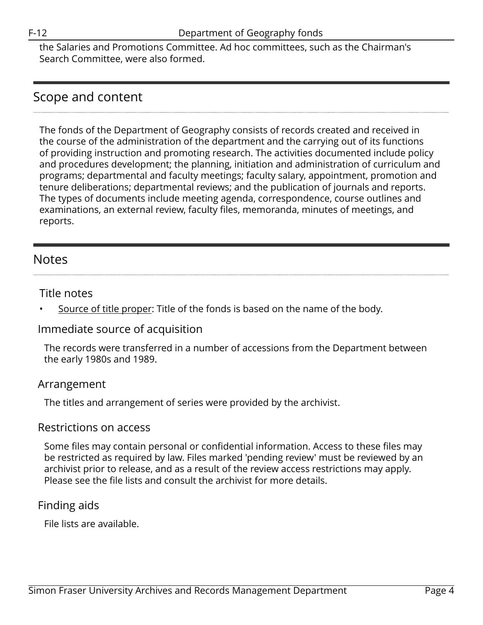the Salaries and Promotions Committee. Ad hoc committees, such as the Chairman's Search Committee, were also formed.

### <span id="page-3-0"></span>Scope and content

The fonds of the Department of Geography consists of records created and received in the course of the administration of the department and the carrying out of its functions of providing instruction and promoting research. The activities documented include policy and procedures development; the planning, initiation and administration of curriculum and programs; departmental and faculty meetings; faculty salary, appointment, promotion and tenure deliberations; departmental reviews; and the publication of journals and reports. The types of documents include meeting agenda, correspondence, course outlines and examinations, an external review, faculty files, memoranda, minutes of meetings, and reports.

### <span id="page-3-2"></span>**Notes**

#### Title notes

Source of title proper: Title of the fonds is based on the name of the body.

### Immediate source of acquisition

The records were transferred in a number of accessions from the Department between the early 1980s and 1989.

### <span id="page-3-1"></span>Arrangement

The titles and arrangement of series were provided by the archivist.

#### Restrictions on access

Some files may contain personal or confidential information. Access to these files may be restricted as required by law. Files marked 'pending review' must be reviewed by an archivist prior to release, and as a result of the review access restrictions may apply. Please see the file lists and consult the archivist for more details.

### Finding aids

File lists are available.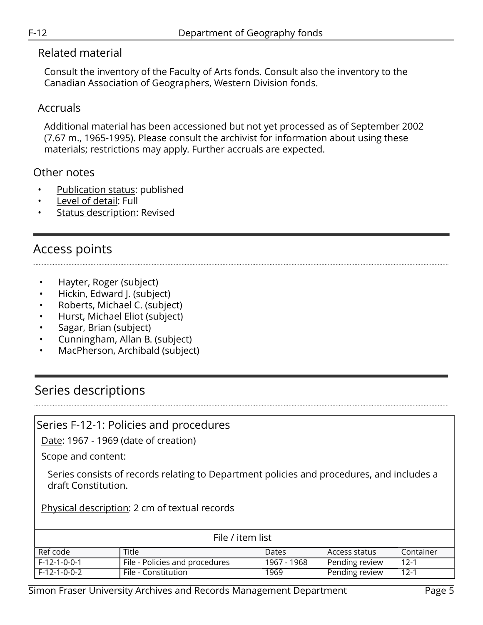#### Related material

Consult the inventory of the Faculty of Arts fonds. Consult also the inventory to the Canadian Association of Geographers, Western Division fonds.

### Accruals

Additional material has been accessioned but not yet processed as of September 2002 (7.67 m., 1965-1995). Please consult the archivist for information about using these materials; restrictions may apply. Further accruals are expected.

### Other notes

- Publication status: published
- Level of detail: Full
- **Status description: Revised**

# <span id="page-4-0"></span>Access points

- Hayter, Roger (subject)
- Hickin, Edward J. (subject)
- Roberts, Michael C. (subject)
- Hurst, Michael Eliot (subject)
- Sagar, Brian (subject)
- Cunningham, Allan B. (subject)
- MacPherson, Archibald (subject)

# <span id="page-4-1"></span>Series descriptions

### <span id="page-4-2"></span>Series F-12-1: Policies and procedures

Date: 1967 - 1969 (date of creation)

Scope and content:

Series consists of records relating to Department policies and procedures, and includes a draft Constitution.

Physical description: 2 cm of textual records

| File / item list |                                |              |                |           |
|------------------|--------------------------------|--------------|----------------|-----------|
| Ref code         | Title                          | <b>Dates</b> | Access status  | Container |
| $F-12-1-0-0-1$   | File - Policies and procedures | 1967 - 1968  | Pending review | $12-1$    |
| $F-12-1-0-0-2$   | File - Constitution            | 1969         | Pending review | $12-1$    |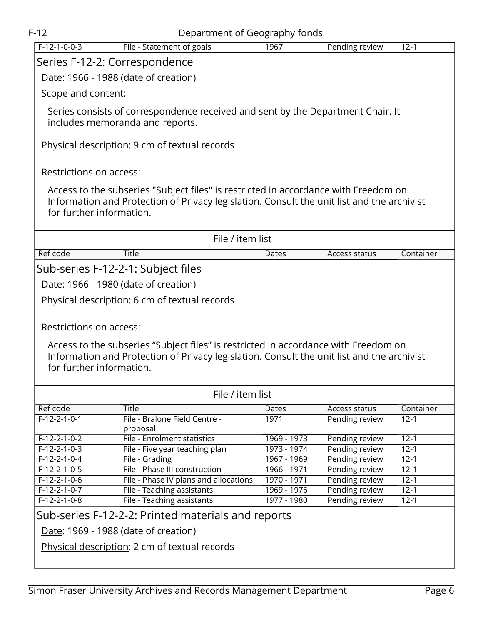<span id="page-5-0"></span>

| $F-12$                               | Department of Geography fonds                                                              |                            |                                  |                      |  |
|--------------------------------------|--------------------------------------------------------------------------------------------|----------------------------|----------------------------------|----------------------|--|
| $F-12-1-0-0-3$                       | File - Statement of goals                                                                  | 1967                       | Pending review                   | $12 - 1$             |  |
| Series F-12-2: Correspondence        |                                                                                            |                            |                                  |                      |  |
|                                      |                                                                                            |                            |                                  |                      |  |
| Date: 1966 - 1988 (date of creation) |                                                                                            |                            |                                  |                      |  |
| Scope and content:                   |                                                                                            |                            |                                  |                      |  |
|                                      | Series consists of correspondence received and sent by the Department Chair. It            |                            |                                  |                      |  |
|                                      | includes memoranda and reports.                                                            |                            |                                  |                      |  |
|                                      |                                                                                            |                            |                                  |                      |  |
|                                      | Physical description: 9 cm of textual records                                              |                            |                                  |                      |  |
|                                      |                                                                                            |                            |                                  |                      |  |
| Restrictions on access:              |                                                                                            |                            |                                  |                      |  |
|                                      |                                                                                            |                            |                                  |                      |  |
|                                      | Access to the subseries "Subject files" is restricted in accordance with Freedom on        |                            |                                  |                      |  |
|                                      | Information and Protection of Privacy legislation. Consult the unit list and the archivist |                            |                                  |                      |  |
| for further information.             |                                                                                            |                            |                                  |                      |  |
|                                      |                                                                                            |                            |                                  |                      |  |
|                                      | File / item list                                                                           |                            |                                  |                      |  |
| Ref code                             | <b>Title</b>                                                                               | Dates                      | Access status                    | Container            |  |
|                                      | Sub-series F-12-2-1: Subject files                                                         |                            |                                  |                      |  |
|                                      | Date: 1966 - 1980 (date of creation)                                                       |                            |                                  |                      |  |
|                                      |                                                                                            |                            |                                  |                      |  |
|                                      | Physical description: 6 cm of textual records                                              |                            |                                  |                      |  |
|                                      |                                                                                            |                            |                                  |                      |  |
| Restrictions on access:              |                                                                                            |                            |                                  |                      |  |
|                                      | Access to the subseries "Subject files" is restricted in accordance with Freedom on        |                            |                                  |                      |  |
|                                      | Information and Protection of Privacy legislation. Consult the unit list and the archivist |                            |                                  |                      |  |
| for further information.             |                                                                                            |                            |                                  |                      |  |
|                                      |                                                                                            |                            |                                  |                      |  |
|                                      | File / item list                                                                           |                            |                                  |                      |  |
| Ref code                             | <b>Title</b>                                                                               | Dates                      | Access status                    | Container            |  |
| $F-12-2-1-0-1$                       | File - Bralone Field Centre -                                                              | 1971                       | Pending review                   | $12 - 1$             |  |
|                                      | proposal                                                                                   |                            |                                  |                      |  |
| $F-12-2-1-0-2$                       | File - Enrolment statistics                                                                | 1969 - 1973                | Pending review                   | $12-1$               |  |
| $F-12-2-1-0-3$                       | File - Five year teaching plan                                                             | 1973 - 1974                | Pending review                   | $12 - 1$             |  |
| $F-12-2-1-0-4$<br>$F-12-2-1-0-5$     | File - Grading<br>File - Phase III construction                                            | 1967 - 1969<br>1966 - 1971 | Pending review<br>Pending review | $12 - 1$<br>$12 - 1$ |  |
| $F-12-2-1-0-6$                       | File - Phase IV plans and allocations                                                      | 1970 - 1971                | Pending review                   | $12 - 1$             |  |
| $F-12-2-1-0-7$                       | File - Teaching assistants                                                                 | 1969 - 1976                | Pending review                   | $12 - 1$             |  |
| $F-12-2-1-0-8$                       | File - Teaching assistants                                                                 | 1977 - 1980                | Pending review                   | $12 - 1$             |  |
|                                      | Sub-series F-12-2-2: Printed materials and reports                                         |                            |                                  |                      |  |
|                                      |                                                                                            |                            |                                  |                      |  |
|                                      | Date: 1969 - 1988 (date of creation)                                                       |                            |                                  |                      |  |
|                                      | Physical description: 2 cm of textual records                                              |                            |                                  |                      |  |
|                                      |                                                                                            |                            |                                  |                      |  |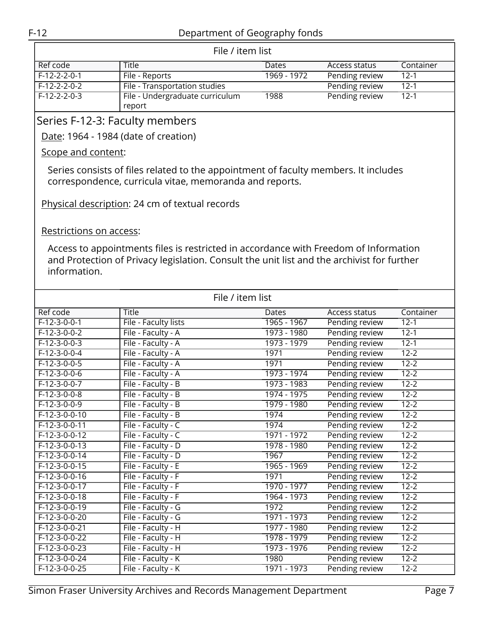| File / item list |                                 |              |                |           |  |
|------------------|---------------------------------|--------------|----------------|-----------|--|
| Ref code         | <b>Title</b>                    | <b>Dates</b> | Access status  | Container |  |
| $F-12-2-2-0-1$   | File - Reports                  | 1969 - 1972  | Pending review | 12-1      |  |
| F-12-2-2-0-2     | File - Transportation studies   |              | Pending review | $12-1$    |  |
| F-12-2-2-0-3     | File - Undergraduate curriculum | 1988         | Pending review | $12 - 1$  |  |
|                  | report                          |              |                |           |  |

### <span id="page-6-0"></span>Series F-12-3: Faculty members

Date: 1964 - 1984 (date of creation)

#### Scope and content:

Series consists of files related to the appointment of faculty members. It includes correspondence, curricula vitae, memoranda and reports.

Physical description: 24 cm of textual records

#### Restrictions on access:

Access to appointments files is restricted in accordance with Freedom of Information and Protection of Privacy legislation. Consult the unit list and the archivist for further information.

| File / item list |                      |             |                |           |  |
|------------------|----------------------|-------------|----------------|-----------|--|
| Ref code         | Title                | Dates       | Access status  | Container |  |
| $F-12-3-0-0-1$   | File - Faculty lists | 1965 - 1967 | Pending review | $12 - 1$  |  |
| $F-12-3-0-0-2$   | File - Faculty - A   | 1973 - 1980 | Pending review | $12 - 1$  |  |
| $F-12-3-0-0-3$   | File - Faculty - A   | 1973 - 1979 | Pending review | $12 - 1$  |  |
| $F-12-3-0-0-4$   | File - Faculty - A   | 1971        | Pending review | $12 - 2$  |  |
| $F-12-3-0-0-5$   | File - Faculty - A   | 1971        | Pending review | $12 - 2$  |  |
| $F-12-3-0-0-6$   | File - Faculty - A   | 1973 - 1974 | Pending review | $12 - 2$  |  |
| $F-12-3-0-0-7$   | File - Faculty - B   | 1973 - 1983 | Pending review | $12 - 2$  |  |
| $F-12-3-0-0-8$   | File - Faculty - B   | 1974 - 1975 | Pending review | $12 - 2$  |  |
| $F-12-3-0-0-9$   | File - Faculty - B   | 1979 - 1980 | Pending review | $12 - 2$  |  |
| $F-12-3-0-0-10$  | File - Faculty - B   | 1974        | Pending review | $12 - 2$  |  |
| $F-12-3-0-0-11$  | File - Faculty - C   | 1974        | Pending review | $12 - 2$  |  |
| $F-12-3-0-0-12$  | File - Faculty - C   | 1971 - 1972 | Pending review | $12 - 2$  |  |
| $F-12-3-0-0-13$  | File - Faculty - D   | 1978 - 1980 | Pending review | $12 - 2$  |  |
| $F-12-3-0-0-14$  | File - Faculty - D   | 1967        | Pending review | $12 - 2$  |  |
| $F-12-3-0-0-15$  | File - Faculty - E   | 1965 - 1969 | Pending review | $12 - 2$  |  |
| $F-12-3-0-0-16$  | File - Faculty - F   | 1971        | Pending review | $12 - 2$  |  |
| $F-12-3-0-0-17$  | File - Faculty - F   | 1970 - 1977 | Pending review | $12 - 2$  |  |
| $F-12-3-0-0-18$  | File - Faculty - F   | 1964 - 1973 | Pending review | $12 - 2$  |  |
| $F-12-3-0-0-19$  | File - Faculty - G   | 1972        | Pending review | $12 - 2$  |  |
| $F-12-3-0-0-20$  | File - Faculty - G   | 1971 - 1973 | Pending review | $12 - 2$  |  |
| F-12-3-0-0-21    | File - Faculty - H   | 1977 - 1980 | Pending review | $12 - 2$  |  |
| $F-12-3-0-0-22$  | File - Faculty - H   | 1978 - 1979 | Pending review | $12 - 2$  |  |
| $F-12-3-0-0-23$  | File - Faculty - H   | 1973 - 1976 | Pending review | $12 - 2$  |  |
| $F-12-3-0-0-24$  | File - Faculty - K   | 1980        | Pending review | $12 - 2$  |  |
| $F-12-3-0-0-25$  | File - Faculty - K   | 1971 - 1973 | Pending review | $12 - 2$  |  |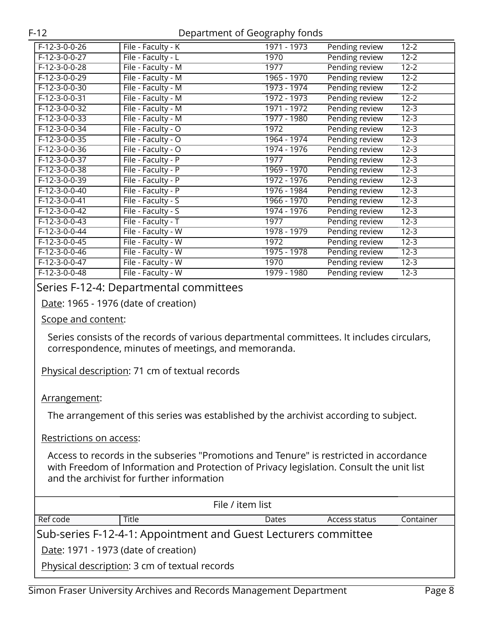| F-12-3-0-0-26   | File - Faculty - K | 1971 - 1973   | Pending review<br>$12 - 2$           |  |
|-----------------|--------------------|---------------|--------------------------------------|--|
| $F-12-3-0-0-27$ | File - Faculty - L | 1970          | Pending review<br>$12 - 2$           |  |
| $F-12-3-0-0-28$ | File - Faculty - M | 1977          | Pending review<br>$12 - 2$           |  |
| $F-12-3-0-0-29$ | File - Faculty - M | 1965 - 1970   | Pending review<br>$12 - 2$           |  |
| $F-12-3-0-0-30$ | File - Faculty - M | 1973 - 1974   | Pending review<br>$12 - 2$           |  |
| $F-12-3-0-0-31$ | File - Faculty - M | 1972 - 1973   | Pending review<br>$12 - 2$           |  |
| F-12-3-0-0-32   | File - Faculty - M | 1971 - 1972   | Pending review<br>$12 - 3$           |  |
| F-12-3-0-0-33   | File - Faculty - M | $1977 - 1980$ | Pending review<br>$12 - 3$           |  |
| $F-12-3-0-0-34$ | File - Faculty - O | 1972          | Pending review<br>$12 - 3$           |  |
| $F-12-3-0-0-35$ | File - Faculty - O | 1964 - 1974   | Pending review<br>$12 - 3$           |  |
| F-12-3-0-0-36   | File - Faculty - O | 1974 - 1976   | Pending review<br>$\overline{1}$ 2-3 |  |
| F-12-3-0-0-37   | File - Faculty - P | 1977          | Pending review<br>$12 - 3$           |  |
| F-12-3-0-0-38   | File - Faculty - P | 1969 - 1970   | Pending review<br>$12 - 3$           |  |
| $F-12-3-0-0-39$ | File - Faculty - P | 1972 - 1976   | Pending review<br>$12 - 3$           |  |
| $F-12-3-0-0-40$ | File - Faculty - P | 1976 - 1984   | Pending review<br>$12 - 3$           |  |
| F-12-3-0-0-41   | File - Faculty - S | 1966 - 1970   | Pending review<br>$12 - 3$           |  |
| F-12-3-0-0-42   | File - Faculty - S | 1974 - 1976   | Pending review<br>$12 - 3$           |  |
| $F-12-3-0-0-43$ | File - Faculty - T | 1977          | Pending review<br>$12 - 3$           |  |
| $F-12-3-0-0-44$ | File - Faculty - W | 1978 - 1979   | Pending review<br>$12 - 3$           |  |
| $F-12-3-0-0-45$ | File - Faculty - W | 1972          | Pending review<br>$12 - 3$           |  |
| $F-12-3-0-0-46$ | File - Faculty - W | 1975 - 1978   | Pending review<br>$12 - 3$           |  |
| F-12-3-0-0-47   | File - Faculty - W | 1970          | Pending review<br>$12 - 3$           |  |
| F-12-3-0-0-48   | File - Faculty - W | 1979 - 1980   | Pending review<br>$12 - 3$           |  |
|                 |                    |               |                                      |  |

#### <span id="page-7-0"></span>Series F-12-4: Departmental committees

Date: 1965 - 1976 (date of creation)

#### Scope and content:

Series consists of the records of various departmental committees. It includes circulars, correspondence, minutes of meetings, and memoranda.

Physical description: 71 cm of textual records

#### Arrangement:

The arrangement of this series was established by the archivist according to subject.

Restrictions on access:

Access to records in the subseries "Promotions and Tenure" is restricted in accordance with Freedom of Information and Protection of Privacy legislation. Consult the unit list and the archivist for further information

| File / item list                     |                                               |                                                                |               |           |
|--------------------------------------|-----------------------------------------------|----------------------------------------------------------------|---------------|-----------|
| Ref code                             | Title                                         | Dates                                                          | Access status | Container |
|                                      |                                               | Sub-series F-12-4-1: Appointment and Guest Lecturers committee |               |           |
| Date: 1971 - 1973 (date of creation) |                                               |                                                                |               |           |
|                                      | Physical description: 3 cm of textual records |                                                                |               |           |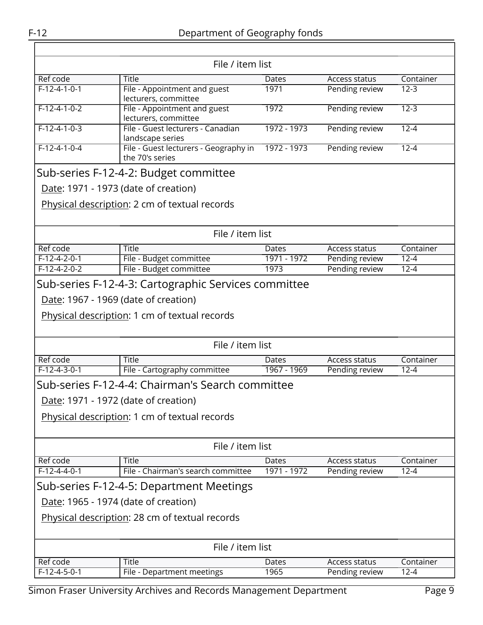|                | File / item list                                         |             |                |           |
|----------------|----------------------------------------------------------|-------------|----------------|-----------|
| Ref code       | <b>Title</b>                                             | Dates       | Access status  | Container |
| $F-12-4-1-0-1$ | File - Appointment and guest<br>lecturers, committee     | 1971        | Pending review | $12 - 3$  |
| $F-12-4-1-0-2$ | File - Appointment and guest<br>lecturers, committee     | 1972        | Pending review | $12 - 3$  |
| $F-12-4-1-0-3$ | File - Guest lecturers - Canadian<br>landscape series    | 1972 - 1973 | Pending review | $12 - 4$  |
| $F-12-4-1-0-4$ | File - Guest lecturers - Geography in<br>the 70's series | 1972 - 1973 | Pending review | $12 - 4$  |
|                | Sub-series F-12-4-2: Budget committee                    |             |                |           |
|                | Date: 1971 - 1973 (date of creation)                     |             |                |           |
|                | Physical description: 2 cm of textual records            |             |                |           |
|                | File / item list                                         |             |                |           |
| Ref code       | <b>Title</b>                                             | Dates       | Access status  | Container |
| $F-12-4-2-0-1$ | File - Budget committee                                  | 1971 - 1972 | Pending review | $12 - 4$  |
| $F-12-4-2-0-2$ | File - Budget committee                                  | 1973        | Pending review | $12 - 4$  |
|                | Sub-series F-12-4-3: Cartographic Services committee     |             |                |           |
|                | Date: 1967 - 1969 (date of creation)                     |             |                |           |
|                | Physical description: 1 cm of textual records            |             |                |           |
|                | File / item list                                         |             |                |           |
| Ref code       | <b>Title</b>                                             | Dates       | Access status  | Container |
| $F-12-4-3-0-1$ | File - Cartography committee                             | 1967 - 1969 | Pending review | $12 - 4$  |
|                | Sub-series F-12-4-4: Chairman's Search committee         |             |                |           |
|                | Date: 1971 - 1972 (date of creation)                     |             |                |           |
|                | Physical description: 1 cm of textual records            |             |                |           |
|                |                                                          |             |                |           |
|                | File / item list                                         |             |                |           |
| Ref code       | Title                                                    | Dates       | Access status  | Container |
| $F-12-4-4-0-1$ | File - Chairman's search committee                       | 1971 - 1972 | Pending review | $12 - 4$  |
|                | Sub-series F-12-4-5: Department Meetings                 |             |                |           |
|                | Date: 1965 - 1974 (date of creation)                     |             |                |           |
|                | Physical description: 28 cm of textual records           |             |                |           |
|                | File / item list                                         |             |                |           |
| Ref code       | Title                                                    | Dates       | Access status  | Container |
| $F-12-4-5-0-1$ | File - Department meetings                               | 1965        | Pending review | $12 - 4$  |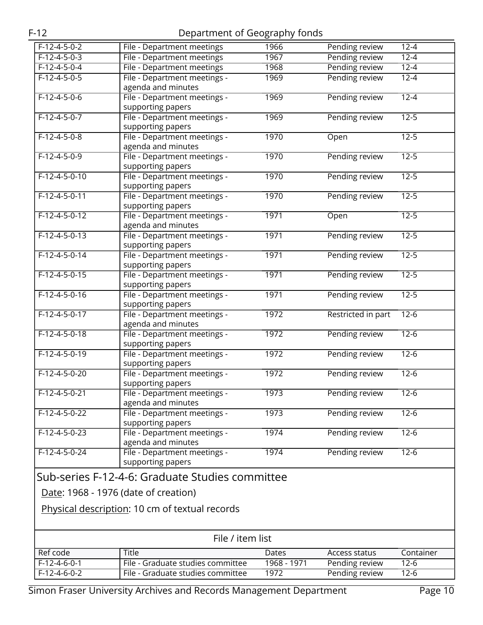| $F-12-4-5-0-2$  | File - Department meetings                      | 1966        | Pending review     | $12 - 4$  |
|-----------------|-------------------------------------------------|-------------|--------------------|-----------|
| $F-12-4-5-0-3$  | <b>File - Department meetings</b>               | 1967        | Pending review     | $12 - 4$  |
| $F-12-4-5-0-4$  | File - Department meetings                      | 1968        | Pending review     | $12 - 4$  |
| $F-12-4-5-0-5$  | File - Department meetings -                    | 1969        | Pending review     | $12 - 4$  |
|                 | agenda and minutes                              |             |                    |           |
| $F-12-4-5-0-6$  | File - Department meetings -                    | 1969        | Pending review     | $12 - 4$  |
|                 | supporting papers                               |             |                    |           |
| $F-12-4-5-0-7$  | File - Department meetings -                    | 1969        | Pending review     | $12 - 5$  |
|                 | supporting papers                               |             |                    |           |
| $F-12-4-5-0-8$  | File - Department meetings -                    | 1970        | Open               | $12 - 5$  |
|                 | agenda and minutes                              |             |                    |           |
| $F-12-4-5-0-9$  | File - Department meetings -                    | 1970        | Pending review     | $12 - 5$  |
|                 | supporting papers                               |             |                    |           |
| $F-12-4-5-0-10$ | File - Department meetings -                    | 1970        | Pending review     | $12 - 5$  |
|                 | supporting papers                               |             |                    |           |
| $F-12-4-5-0-11$ | File - Department meetings -                    | 1970        | Pending review     | $12 - 5$  |
|                 | supporting papers                               |             |                    |           |
| $F-12-4-5-0-12$ | File - Department meetings -                    | 1971        | Open               | $12 - 5$  |
|                 | agenda and minutes                              |             |                    |           |
| $F-12-4-5-0-13$ | File - Department meetings -                    | 1971        | Pending review     | $12 - 5$  |
|                 | supporting papers                               |             |                    |           |
| $F-12-4-5-0-14$ | File - Department meetings -                    | 1971        | Pending review     | $12 - 5$  |
|                 | supporting papers                               |             |                    |           |
| $F-12-4-5-0-15$ | File - Department meetings -                    | 1971        | Pending review     | $12 - 5$  |
|                 | supporting papers                               |             |                    |           |
| $F-12-4-5-0-16$ | File - Department meetings -                    | 1971        | Pending review     | $12 - 5$  |
|                 | supporting papers                               |             |                    |           |
| $F-12-4-5-0-17$ | File - Department meetings -                    | 1972        | Restricted in part | $12-6$    |
|                 | agenda and minutes                              |             |                    |           |
| $F-12-4-5-0-18$ | File - Department meetings -                    | 1972        |                    | $12-6$    |
|                 |                                                 |             | Pending review     |           |
|                 | supporting papers                               |             |                    |           |
| $F-12-4-5-0-19$ | File - Department meetings -                    | 1972        | Pending review     | $12-6$    |
|                 | supporting papers                               |             |                    |           |
| $F-12-4-5-0-20$ | File - Department meetings -                    | 1972        | Pending review     | $12 - 6$  |
|                 | supporting papers                               |             |                    |           |
| $F-12-4-5-0-21$ | File - Department meetings -                    | 1973        | Pending review     | $12 - 6$  |
|                 | agenda and minutes                              |             |                    |           |
| $F-12-4-5-0-22$ | File - Department meetings -                    | 1973        | Pending review     | $12-6$    |
|                 | supporting papers                               |             |                    |           |
| $F-12-4-5-0-23$ | File - Department meetings -                    | 1974        | Pending review     | $12-6$    |
|                 | agenda and minutes                              |             |                    |           |
| $F-12-4-5-0-24$ | File - Department meetings -                    | 1974        | Pending review     | $12-6$    |
|                 | supporting papers                               |             |                    |           |
|                 | Sub-series F-12-4-6: Graduate Studies committee |             |                    |           |
|                 |                                                 |             |                    |           |
|                 | Date: 1968 - 1976 (date of creation)            |             |                    |           |
|                 | Physical description: 10 cm of textual records  |             |                    |           |
|                 |                                                 |             |                    |           |
|                 |                                                 |             |                    |           |
|                 | File / item list                                |             |                    |           |
|                 |                                                 |             |                    |           |
| Ref code        | Title                                           | Dates       | Access status      | Container |
| $F-12-4-6-0-1$  | File - Graduate studies committee               | 1968 - 1971 | Pending review     | $12-6$    |
| $F-12-4-6-0-2$  | File - Graduate studies committee               | 1972        | Pending review     | $12-6$    |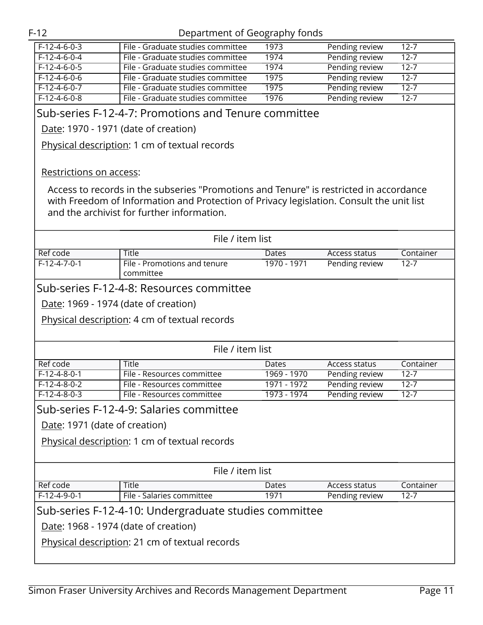| $F-12-4-6-0-3$                                                                               | File - Graduate studies committee                                                                                                                                                                                                | 1973        | Pending review | $12 - 7$  |
|----------------------------------------------------------------------------------------------|----------------------------------------------------------------------------------------------------------------------------------------------------------------------------------------------------------------------------------|-------------|----------------|-----------|
| $F-12-4-6-0-4$                                                                               | File - Graduate studies committee                                                                                                                                                                                                | 1974        | Pending review | $12 - 7$  |
| $F-12-4-6-0-5$                                                                               | File - Graduate studies committee                                                                                                                                                                                                | 1974        | Pending review | $12 - 7$  |
| $F-12-4-6-0-6$                                                                               | File - Graduate studies committee                                                                                                                                                                                                | 1975        | Pending review | $12 - 7$  |
| $F-12-4-6-0-7$                                                                               | File - Graduate studies committee                                                                                                                                                                                                | 1975        | Pending review | $12 - 7$  |
| $F-12-4-6-0-8$                                                                               | File - Graduate studies committee                                                                                                                                                                                                | 1976        | Pending review | $12 - 7$  |
|                                                                                              | Sub-series F-12-4-7: Promotions and Tenure committee                                                                                                                                                                             |             |                |           |
|                                                                                              | Date: 1970 - 1971 (date of creation)                                                                                                                                                                                             |             |                |           |
|                                                                                              | Physical description: 1 cm of textual records                                                                                                                                                                                    |             |                |           |
| Restrictions on access:                                                                      |                                                                                                                                                                                                                                  |             |                |           |
|                                                                                              | Access to records in the subseries "Promotions and Tenure" is restricted in accordance<br>with Freedom of Information and Protection of Privacy legislation. Consult the unit list<br>and the archivist for further information. |             |                |           |
|                                                                                              | File / item list                                                                                                                                                                                                                 |             |                |           |
|                                                                                              |                                                                                                                                                                                                                                  |             |                |           |
|                                                                                              | <b>Title</b>                                                                                                                                                                                                                     | Dates       | Access status  | Container |
|                                                                                              | File - Promotions and tenure<br>committee<br>Sub-series F-12-4-8: Resources committee<br>Date: 1969 - 1974 (date of creation)                                                                                                    | 1970 - 1971 | Pending review | $12 - 7$  |
|                                                                                              | Physical description: 4 cm of textual records                                                                                                                                                                                    |             |                |           |
|                                                                                              | File / item list                                                                                                                                                                                                                 |             |                |           |
|                                                                                              | Title                                                                                                                                                                                                                            | Dates       | Access status  | Container |
|                                                                                              | File - Resources committee                                                                                                                                                                                                       | 1969 - 1970 | Pending review | $12 - 7$  |
|                                                                                              | File - Resources committee                                                                                                                                                                                                       | 1971 - 1972 | Pending review | $12 - 7$  |
|                                                                                              | File - Resources committee                                                                                                                                                                                                       | 1973 - 1974 | Pending review | $12 - 7$  |
|                                                                                              | Sub-series F-12-4-9: Salaries committee                                                                                                                                                                                          |             |                |           |
|                                                                                              |                                                                                                                                                                                                                                  |             |                |           |
| Date: 1971 (date of creation)                                                                |                                                                                                                                                                                                                                  |             |                |           |
|                                                                                              | Physical description: 1 cm of textual records                                                                                                                                                                                    |             |                |           |
| Ref code<br>$F-12-4-7-0-1$<br>Ref code<br>$F-12-4-8-0-1$<br>$F-12-4-8-0-2$<br>$F-12-4-8-0-3$ | File / item list                                                                                                                                                                                                                 |             |                |           |
| Ref code                                                                                     | <b>Title</b>                                                                                                                                                                                                                     | Dates       | Access status  | Container |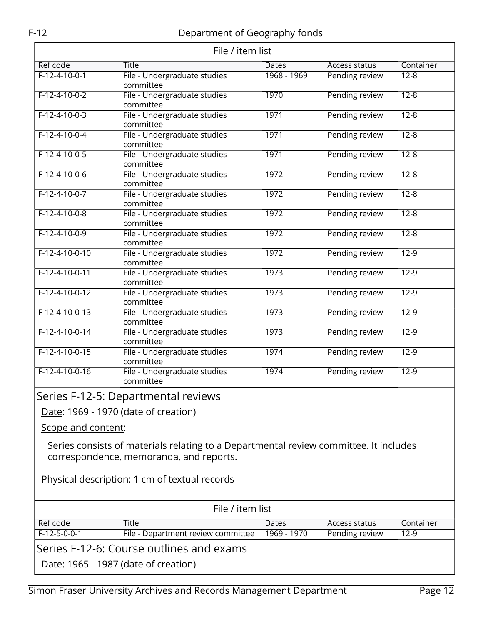<span id="page-11-1"></span><span id="page-11-0"></span>

| File / item list                                                                                                                 |                                           |             |                      |           |  |
|----------------------------------------------------------------------------------------------------------------------------------|-------------------------------------------|-------------|----------------------|-----------|--|
| Ref code                                                                                                                         | <b>Title</b>                              | Dates       | <b>Access status</b> | Container |  |
| $F-12-4-10-0-1$                                                                                                                  | File - Undergraduate studies<br>committee | 1968 - 1969 | Pending review       | $12 - 8$  |  |
| $F-12-4-10-0-2$                                                                                                                  | File - Undergraduate studies<br>committee | 1970        | Pending review       | $12 - 8$  |  |
| $F-12-4-10-0-3$                                                                                                                  | File - Undergraduate studies<br>committee | 1971        | Pending review       | $12 - 8$  |  |
| $F-12-4-10-0-4$                                                                                                                  | File - Undergraduate studies<br>committee | 1971        | Pending review       | $12 - 8$  |  |
| $F-12-4-10-0-5$                                                                                                                  | File - Undergraduate studies<br>committee | 1971        | Pending review       | $12 - 8$  |  |
| $F-12-4-10-0-6$                                                                                                                  | File - Undergraduate studies<br>committee | 1972        | Pending review       | $12 - 8$  |  |
| $F-12-4-10-0-7$                                                                                                                  | File - Undergraduate studies<br>committee | 1972        | Pending review       | $12 - 8$  |  |
| $F-12-4-10-0-8$                                                                                                                  | File - Undergraduate studies<br>committee | 1972        | Pending review       | $12 - 8$  |  |
| $F-12-4-10-0-9$                                                                                                                  | File - Undergraduate studies<br>committee | 1972        | Pending review       | $12 - 8$  |  |
| $F-12-4-10-0-10$                                                                                                                 | File - Undergraduate studies<br>committee | 1972        | Pending review       | $12-9$    |  |
| $F-12-4-10-0-11$                                                                                                                 | File - Undergraduate studies<br>committee | 1973        | Pending review       | $12-9$    |  |
| $F-12-4-10-0-12$                                                                                                                 | File - Undergraduate studies<br>committee | 1973        | Pending review       | $12-9$    |  |
| $F-12-4-10-0-13$                                                                                                                 | File - Undergraduate studies<br>committee | 1973        | Pending review       | $12-9$    |  |
| $F-12-4-10-0-14$                                                                                                                 | File - Undergraduate studies<br>committee | 1973        | Pending review       | $12-9$    |  |
| $F-12-4-10-0-15$                                                                                                                 | File - Undergraduate studies<br>committee | 1974        | Pending review       | $12 - 9$  |  |
| $F-12-4-10-0-16$                                                                                                                 | File - Undergraduate studies<br>committee | 1974        | Pending review       | $12 - 9$  |  |
|                                                                                                                                  | Series F-12-5: Departmental reviews       |             |                      |           |  |
|                                                                                                                                  | Date: 1969 - 1970 (date of creation)      |             |                      |           |  |
| Scope and content:                                                                                                               |                                           |             |                      |           |  |
| Series consists of materials relating to a Departmental review committee. It includes<br>correspondence, memoranda, and reports. |                                           |             |                      |           |  |
| Physical description: 1 cm of textual records                                                                                    |                                           |             |                      |           |  |
| File / item list                                                                                                                 |                                           |             |                      |           |  |
| Ref code                                                                                                                         | Title                                     | Dates       | Access status        | Container |  |
| $F-12-5-0-0-1$                                                                                                                   | File - Department review committee        | 1969 - 1970 | Pending review       | $12-9$    |  |
|                                                                                                                                  | Series F-12-6: Course outlines and exams  |             |                      |           |  |
| Date: 1965 - 1987 (date of creation)                                                                                             |                                           |             |                      |           |  |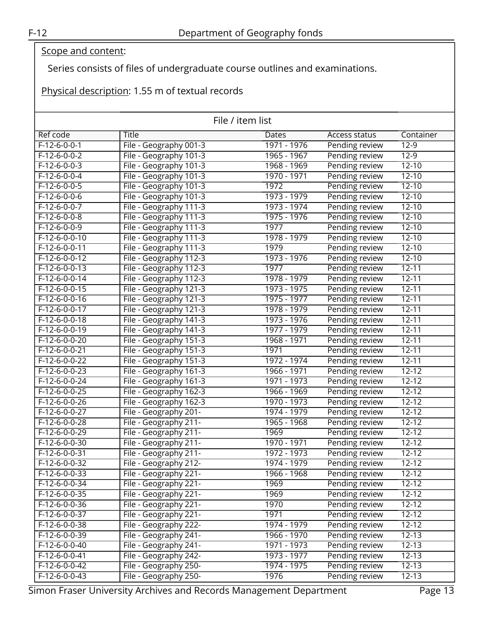### Scope and content:

Series consists of files of undergraduate course outlines and examinations.

Physical description: 1.55 m of textual records

| File / item list |                        |               |                |                    |
|------------------|------------------------|---------------|----------------|--------------------|
| Ref code         | <b>Title</b>           | Dates         | Access status  | Container          |
| $F-12-6-0-0-1$   | File - Geography 001-3 | 1971 - 1976   | Pending review | $12-9$             |
| $F-12-6-0-0-2$   | File - Geography 101-3 | 1965 - 1967   | Pending review | $12-9$             |
| $F-12-6-0-0-3$   | File - Geography 101-3 | 1968 - 1969   | Pending review | $12 - 10$          |
| $F-12-6-0-0-4$   | File - Geography 101-3 | 1970 - 1971   | Pending review | $12 - 10$          |
| $F-12-6-0-0-5$   | File - Geography 101-3 | 1972          | Pending review | $12 - 10$          |
| $F-12-6-0-0-6$   | File - Geography 101-3 | 1973 - 1979   | Pending review | $12 - 10$          |
| $F-12-6-0-0-7$   | File - Geography 111-3 | 1973 - 1974   | Pending review | $12 - 10$          |
| $F-12-6-0-0-8$   | File - Geography 111-3 | 1975 - 1976   | Pending review | $12 - 10$          |
| F-12-6-0-0-9     | File - Geography 111-3 | 1977          | Pending review | $12 - 10$          |
| $F-12-6-0-0-10$  | File - Geography 111-3 | 1978 - 1979   | Pending review | $12 - 10$          |
| $F-12-6-0-0-11$  | File - Geography 111-3 | 1979          | Pending review | $12 - 10$          |
| $F-12-6-0-0-12$  | File - Geography 112-3 | 1973 - 1976   | Pending review | $12 - 10$          |
| $F-12-6-0-0-13$  | File - Geography 112-3 | 1977          | Pending review | $12 - 11$          |
| $F-12-6-0-0-14$  | File - Geography 112-3 | 1978 - 1979   | Pending review | $12 - 11$          |
| $F-12-6-0-0-15$  | File - Geography 121-3 | 1973 - 1975   | Pending review | $12 - 11$          |
| $F-12-6-0-0-16$  | File - Geography 121-3 | 1975 - 1977   | Pending review | $12 - 11$          |
| F-12-6-0-0-17    | File - Geography 121-3 | 1978 - 1979   | Pending review | $12 - 11$          |
| $F-12-6-0-0-18$  | File - Geography 141-3 | 1973 - 1976   | Pending review | $12 - 11$          |
| $F-12-6-0-0-19$  | File - Geography 141-3 | 1977 - 1979   | Pending review | $12 - 11$          |
| $F-12-6-0-0-20$  | File - Geography 151-3 | 1968 - 1971   | Pending review | $12 - 11$          |
| F-12-6-0-0-21    | File - Geography 151-3 | 1971          | Pending review | $12 - 11$          |
| $F-12-6-0-0-22$  | File - Geography 151-3 | 1972 - 1974   | Pending review | $12 - 11$          |
| F-12-6-0-0-23    | File - Geography 161-3 | 1966 - 1971   | Pending review | $12 - 12$          |
| $F-12-6-0-0-24$  | File - Geography 161-3 | 1971 - 1973   | Pending review | $12 - 12$          |
| $F-12-6-0-0-25$  | File - Geography 162-3 | 1966 - 1969   | Pending review | $12 - 12$          |
| $F-12-6-0-0-26$  | File - Geography 162-3 | 1970 - 1973   | Pending review | $12 - 12$          |
| $F-12-6-0-0-27$  | File - Geography 201-  | 1974 - 1979   | Pending review | $12 - 12$          |
| $F-12-6-0-0-28$  | File - Geography 211-  | $1965 - 1968$ | Pending review | $12 - 12$          |
| $F-12-6-0-0-29$  | File - Geography 211-  | 1969          | Pending review | $12 - 12$          |
| $F-12-6-0-0-30$  | File - Geography 211-  | 1970 - 1971   | Pending review | $12 - 12$          |
| $F-12-6-0-0-31$  | File - Geography 211-  | 1972 - 1973   | Pending review | $12 - 12$          |
| F-12-6-0-0-32    | File - Geography 212-  | 1974 - 1979   | Pending review | $\overline{12-12}$ |
| F-12-6-0-0-33    | File - Geography 221-  | 1966 - 1968   | Pending review | $12 - 12$          |
| $F-12-6-0-0-34$  | File - Geography 221-  | 1969          | Pending review | $12 - 12$          |
| F-12-6-0-0-35    | File - Geography 221-  | 1969          | Pending review | $12 - 12$          |
| F-12-6-0-0-36    | File - Geography 221-  | 1970          | Pending review | $12 - 12$          |
| $F-12-6-0-0-37$  | File - Geography 221-  | 1971          | Pending review | $12 - 12$          |
| F-12-6-0-0-38    | File - Geography 222-  | 1974 - 1979   | Pending review | $12 - 12$          |
| F-12-6-0-0-39    | File - Geography 241-  | 1966 - 1970   | Pending review | $12 - 13$          |
| F-12-6-0-0-40    | File - Geography 241-  | 1971 - 1973   | Pending review | $12 - 13$          |
| F-12-6-0-0-41    | File - Geography 242-  | 1973 - 1977   | Pending review | $12 - 13$          |
| F-12-6-0-0-42    | File - Geography 250-  | 1974 - 1975   | Pending review | $12 - 13$          |
| F-12-6-0-0-43    | File - Geography 250-  | 1976          | Pending review | $12 - 13$          |

Simon Fraser University Archives and Records Management Department Page 13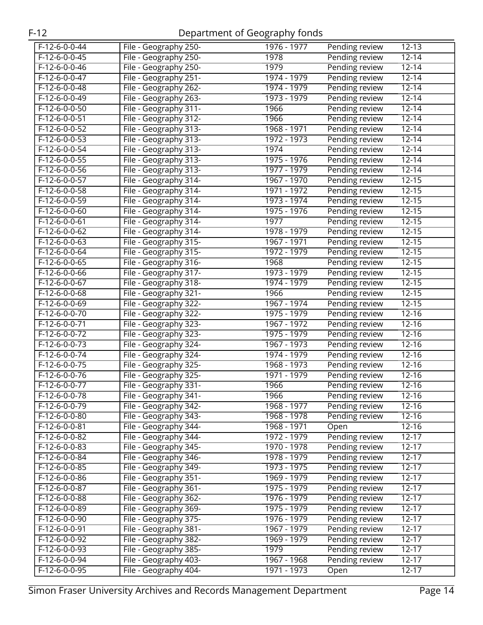| $F-12-6-0-0-44$ | File - Geography 250- | 1976 - 1977   | $12 - 13$<br>Pending review        |
|-----------------|-----------------------|---------------|------------------------------------|
| $F-12-6-0-0-45$ | File - Geography 250- | 1978          | Pending review<br>$12 - 14$        |
| $F-12-6-0-0-46$ | File - Geography 250- | 1979          | Pending review<br>$12 - 14$        |
| F-12-6-0-0-47   | File - Geography 251- | 1974 - 1979   | Pending review<br>$12 - 14$        |
| $F-12-6-0-0-48$ | File - Geography 262- | 1974 - 1979   | Pending review<br>$12 - 14$        |
| $F-12-6-0-0-49$ | File - Geography 263- | 1973 - 1979   | $\frac{1}{2-14}$<br>Pending review |
| $F-12-6-0-0-50$ | File - Geography 311- | 1966          | $12 - 14$<br>Pending review        |
| $F-12-6-0-0-51$ | File - Geography 312- | 1966          | Pending review<br>$12 - 14$        |
| $F-12-6-0-0-52$ | File - Geography 313- | 1968 - 1971   | Pending review<br>$12 - 14$        |
| F-12-6-0-0-53   | File - Geography 313- | 1972 - 1973   | Pending review<br>$12 - 14$        |
| $F-12-6-0-0-54$ | File - Geography 313- | 1974          | Pending review<br>$12 - 14$        |
| $F-12-6-0-0-55$ | File - Geography 313- | 1975 - 1976   | $12 - 14$<br>Pending review        |
| $F-12-6-0-0-56$ | File - Geography 313- | 1977 - 1979   | $12 - 14$<br>Pending review        |
| $F-12-6-0-0-57$ | File - Geography 314- | 1967 - 1970   | $12 - 15$<br>Pending review        |
| $F-12-6-0-0-58$ | File - Geography 314- | 1971 - 1972   | Pending review<br>$12 - 15$        |
| F-12-6-0-0-59   | File - Geography 314- | 1973 - 1974   | Pending review<br>$12 - 15$        |
| $F-12-6-0-0-60$ | File - Geography 314- | 1975 - 1976   | Pending review<br>$12 - 15$        |
| $F-12-6-0-0-61$ | File - Geography 314- | 1977          | Pending review<br>$12 - 15$        |
| $F-12-6-0-0-62$ | File - Geography 314- | 1978 - 1979   | $12 - 15$<br>Pending review        |
| $F-12-6-0-0-63$ | File - Geography 315- | 1967 - 1971   | Pending review<br>$12 - 15$        |
| $F-12-6-0-0-64$ | File - Geography 315- | 1972 - 1979   | Pending review<br>$12 - 15$        |
| F-12-6-0-0-65   | File - Geography 316- | 1968          | Pending review<br>$12 - 15$        |
| $F-12-6-0-0-66$ | File - Geography 317- | 1973 - 1979   | Pending review<br>$12 - 15$        |
| $F-12-6-0-0-67$ | File - Geography 318- | 1974 - 1979   | $12 - 15$<br>Pending review        |
| F-12-6-0-0-68   | File - Geography 321- | 1966          | $12 - 15$<br>Pending review        |
| $F-12-6-0-0-69$ | File - Geography 322- | 1967 - 1974   | $12 - 15$<br>Pending review        |
| $F-12-6-0-0-70$ | File - Geography 322- | 1975 - 1979   | Pending review<br>$12 - 16$        |
| F-12-6-0-0-71   | File - Geography 323- | 1967 - 1972   | Pending review<br>$12 - 16$        |
| $F-12-6-0-0-72$ | File - Geography 323- | 1975 - 1979   | Pending review<br>$12 - 16$        |
| $F-12-6-0-0-73$ | File - Geography 324- | 1967 - 1973   | Pending review<br>$12 - 16$        |
| $F-12-6-0-0-74$ | File - Geography 324- | 1974 - 1979   | Pending review<br>$12 - 16$        |
| $F-12-6-0-0-75$ | File - Geography 325- | 1968 - 1973   | Pending review<br>$12 - 16$        |
| $F-12-6-0-0-76$ | File - Geography 325- | 1971 - 1979   | Pending review<br>$12 - 16$        |
| $F-12-6-0-0-77$ | File - Geography 331- | 1966          | Pending review<br>$12 - 16$        |
| F-12-6-0-0-78   | File - Geography 341- | 1966          | Pending review<br>12-16            |
| F-12-6-0-0-79   | File - Geography 342- | 1968 - 1977   | Pending review<br>$12 - 16$        |
| F-12-6-0-0-80   | File - Geography 343- | 1968 - 1978   | Pending review<br>$12 - 16$        |
| $F-12-6-0-0-81$ | File - Geography 344- | 1968 - 1971   | $12 - 16$<br>Open                  |
| $F-12-6-0-0-82$ | File - Geography 344- | 1972 - 1979   | Pending review<br>$12 - 17$        |
| F-12-6-0-0-83   | File - Geography 345- | 1970 - 1978   | Pending review<br>$12 - 17$        |
| $F-12-6-0-0-84$ | File - Geography 346- | 1978 - 1979   | Pending review<br>$12 - 17$        |
| F-12-6-0-0-85   | File - Geography 349- | 1973 - 1975   | Pending review<br>$12 - 17$        |
| F-12-6-0-0-86   | File - Geography 351- | 1969 - 1979   | Pending review<br>$12 - 17$        |
| $F-12-6-0-0-87$ | File - Geography 361- | 1975 - 1979   | Pending review<br>$12 - 17$        |
| $F-12-6-0-0-88$ | File - Geography 362- | 1976 - 1979   | Pending review<br>$12 - 17$        |
| F-12-6-0-0-89   | File - Geography 369- | 1975 - 1979   | Pending review<br>$12 - 17$        |
| F-12-6-0-0-90   | File - Geography 375- | 1976 - 1979   | Pending review<br>$12 - 17$        |
| F-12-6-0-0-91   | File - Geography 381- | 1967 - 1979   | Pending review<br>$12 - 17$        |
| F-12-6-0-0-92   | File - Geography 382- | 1969 - 1979   | Pending review<br>$12 - 17$        |
| F-12-6-0-0-93   | File - Geography 385- | 1979          | Pending review<br>$12 - 17$        |
| $F-12-6-0-0-94$ | File - Geography 403- | $1967 - 1968$ | Pending review<br>$12 - 17$        |
| F-12-6-0-0-95   | File - Geography 404- | 1971 - 1973   | $12 - 17$<br>Open                  |
|                 |                       |               |                                    |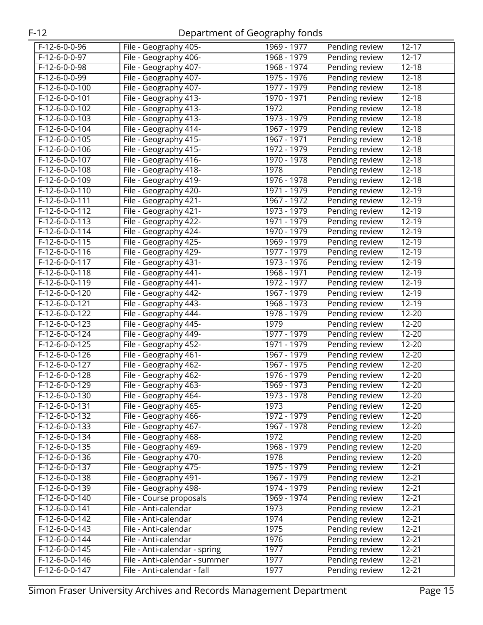| F-12-6-0-0-96    | File - Geography 405-         | 1969 - 1977 | $12 - 17$<br>Pending review           |
|------------------|-------------------------------|-------------|---------------------------------------|
| $F-12-6-0-0-97$  | File - Geography 406-         | 1968 - 1979 | Pending review<br>$12 - 17$           |
| $F-12-6-0-0-98$  | File - Geography 407-         | 1968 - 1974 | Pending review<br>$12 - 18$           |
| F-12-6-0-0-99    | File - Geography 407-         | 1975 - 1976 | Pending review<br>$12 - 18$           |
| F-12-6-0-0-100   | File - Geography 407-         | 1977 - 1979 | Pending review<br>$\overline{1}$ 2-18 |
| F-12-6-0-0-101   | File - Geography 413-         | 1970 - 1971 | Pending review<br>$12 - 18$           |
| F-12-6-0-0-102   | File - Geography 413-         | 1972        | $12 - 18$<br>Pending review           |
| $F-12-6-0-0-103$ | File - Geography 413-         | 1973 - 1979 | $12 - 18$<br>Pending review           |
| $F-12-6-0-0-104$ | File - Geography 414-         | 1967 - 1979 | Pending review<br>$12 - 18$           |
| $F-12-6-0-0-105$ | File - Geography 415-         | 1967 - 1971 | Pending review<br>$12 - 18$           |
| F-12-6-0-0-106   | File - Geography 415-         | 1972 - 1979 | Pending review<br>$12 - 18$           |
| $F-12-6-0-0-107$ | File - Geography 416-         | 1970 - 1978 | Pending review<br>$12 - 18$           |
| F-12-6-0-0-108   | File - Geography 418-         | 1978        | $12 - 18$<br>Pending review           |
| F-12-6-0-0-109   | File - Geography 419-         | 1976 - 1978 | $12 - 18$<br>Pending review           |
| $F-12-6-0-0-110$ | File - Geography 420-         | 1971 - 1979 | Pending review<br>$12 - 19$           |
| F-12-6-0-0-111   | File - Geography 421-         | 1967 - 1972 | $12 - 19$<br>Pending review           |
| $F-12-6-0-0-112$ | File - Geography 421-         | 1973 - 1979 | Pending review<br>$12 - 19$           |
| $F-12-6-0-0-113$ | File - Geography 422-         | 1971 - 1979 | Pending review<br>12-19               |
| F-12-6-0-0-114   | File - Geography 424-         | 1970 - 1979 | $12 - 19$<br>Pending review           |
| $F-12-6-0-0-115$ | File - Geography 425-         | 1969 - 1979 | $12 - 19$<br>Pending review           |
| $F-12-6-0-0-116$ | File - Geography 429-         | 1977 - 1979 | Pending review<br>$12 - 19$           |
| F-12-6-0-0-117   | File - Geography 431-         | 1973 - 1976 | Pending review<br>12-19               |
| F-12-6-0-0-118   | File - Geography 441-         | 1968 - 1971 | Pending review<br>12-19               |
| $F-12-6-0-0-119$ | File - Geography 441-         | 1972 - 1977 | Pending review<br>$12 - 19$           |
| F-12-6-0-0-120   | File - Geography 442-         | 1967 - 1979 | $12 - 19$<br>Pending review           |
| $F-12-6-0-0-121$ | File - Geography 443-         | 1968 - 1973 | $12 - 19$<br>Pending review           |
| $F-12-6-0-0-122$ | File - Geography 444-         | 1978 - 1979 | Pending review<br>$12 - 20$           |
| $F-12-6-0-0-123$ | File - Geography 445-         | 1979        | $12 - 20$<br>Pending review           |
| F-12-6-0-0-124   | File - Geography 449-         | 1977 - 1979 | Pending review<br>12-20               |
| $F-12-6-0-0-125$ | File - Geography 452-         | 1971 - 1979 | $12 - 20$<br>Pending review           |
| F-12-6-0-0-126   | File - Geography 461-         | 1967 - 1979 | $12 - 20$<br>Pending review           |
| $F-12-6-0-0-127$ | File - Geography 462-         | 1967 - 1975 | $12 - 20$<br>Pending review           |
| $F-12-6-0-0-128$ | File - Geography 462-         | 1976 - 1979 | Pending review<br>$12 - 20$           |
| $F-12-6-0-0-129$ | File - Geography 463-         | 1969 - 1973 | $12 - 20$<br>Pending review           |
| $F-12-6-0-0-130$ | File - Geography 464-         | 1973 - 1978 | $12 - 20$<br>Pending review           |
| F-12-6-0-0-131   | File - Geography 465-         | 1973        | Pending review<br>12-20               |
| F-12-6-0-0-132   | File - Geography 466-         | 1972 - 1979 | Pending review<br>12-20               |
| F-12-6-0-0-133   | File - Geography 467-         | 1967 - 1978 | Pending review<br>12-20               |
| F-12-6-0-0-134   | File - Geography 468-         | 1972        | Pending review<br>$12 - 20$           |
| F-12-6-0-0-135   | File - Geography 469-         | 1968 - 1979 | Pending review<br>12-20               |
| F-12-6-0-0-136   | File - Geography 470-         | 1978        | Pending review<br>12-20               |
| $F-12-6-0-0-137$ | File - Geography 475-         | 1975 - 1979 | Pending review<br>$12 - 21$           |
| F-12-6-0-0-138   | File - Geography 491-         | 1967 - 1979 | Pending review<br>$12 - 21$           |
| F-12-6-0-0-139   | File - Geography 498-         | 1974 - 1979 | Pending review<br>$12 - 21$           |
| $F-12-6-0-0-140$ | File - Course proposals       | 1969 - 1974 | Pending review<br>$12 - 21$           |
| F-12-6-0-0-141   | File - Anti-calendar          | 1973        | Pending review<br>$12 - 21$           |
| F-12-6-0-0-142   | File - Anti-calendar          | 1974        | Pending review<br>$12 - 21$           |
| F-12-6-0-0-143   | File - Anti-calendar          | 1975        | Pending review<br>$12 - 21$           |
| F-12-6-0-0-144   | File - Anti-calendar          | 1976        | Pending review<br>$12 - 21$           |
| F-12-6-0-0-145   | File - Anti-calendar - spring | 1977        | Pending review<br>$12 - 21$           |
| $F-12-6-0-0-146$ | File - Anti-calendar - summer | 1977        | Pending review<br>$12 - 21$           |
| $F-12-6-0-0-147$ | File - Anti-calendar - fall   | 1977        | Pending review<br>$12 - 21$           |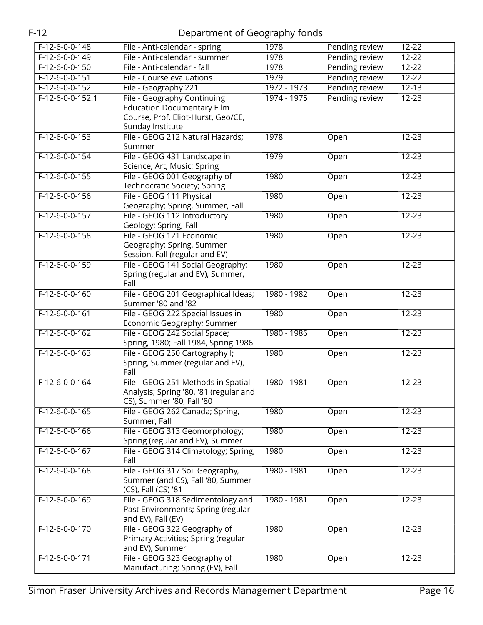| $F-12-6-0-0-148$ | File - Anti-calendar - spring                            | 1978        | Pending review | $12 - 22$ |
|------------------|----------------------------------------------------------|-------------|----------------|-----------|
| $F-12-6-0-0-149$ | File - Anti-calendar - summer                            | 1978        | Pending review | $12 - 22$ |
| $F-12-6-0-0-150$ | File - Anti-calendar - fall                              | 1978        | Pending review | $12 - 22$ |
| $F-12-6-0-0-151$ | File - Course evaluations                                | 1979        | Pending review | $12 - 22$ |
| $F-12-6-0-0-152$ | File - Geography 221                                     | 1972 - 1973 | Pending review | $12 - 13$ |
| F-12-6-0-0-152.1 | File - Geography Continuing                              | 1974 - 1975 | Pending review | $12 - 23$ |
|                  | <b>Education Documentary Film</b>                        |             |                |           |
|                  | Course, Prof. Eliot-Hurst, Geo/CE,                       |             |                |           |
|                  | Sunday Institute                                         |             |                |           |
| $F-12-6-0-0-153$ | File - GEOG 212 Natural Hazards;                         | 1978        | Open           | $12 - 23$ |
|                  | Summer                                                   |             |                |           |
| $F-12-6-0-0-154$ | File - GEOG 431 Landscape in                             | 1979        | Open           | $12 - 23$ |
|                  | Science, Art, Music; Spring                              |             |                |           |
| $F-12-6-0-0-155$ | File - GEOG 001 Geography of                             | 1980        | Open           | $12 - 23$ |
|                  | Technocratic Society; Spring                             |             |                |           |
| $F-12-6-0-0-156$ | File - GEOG 111 Physical                                 | 1980        | Open           | $12 - 23$ |
|                  | Geography; Spring, Summer, Fall                          |             |                |           |
| $F-12-6-0-0-157$ | File - GEOG 112 Introductory                             | 1980        | Open           | $12 - 23$ |
|                  | Geology; Spring, Fall                                    |             |                |           |
| $F-12-6-0-0-158$ | File - GEOG 121 Economic                                 | 1980        | Open           | $12 - 23$ |
|                  | Geography; Spring, Summer                                |             |                |           |
|                  | Session, Fall (regular and EV)                           |             |                |           |
| $F-12-6-0-0-159$ | File - GEOG 141 Social Geography;                        | 1980        | Open           | $12 - 23$ |
|                  | Spring (regular and EV), Summer,<br>Fall                 |             |                |           |
| $F-12-6-0-0-160$ | File - GEOG 201 Geographical Ideas;                      | 1980 - 1982 | Open           | $12 - 23$ |
|                  | Summer '80 and '82                                       |             |                |           |
| $F-12-6-0-0-161$ | File - GEOG 222 Special Issues in                        | 1980        | Open           | $12 - 23$ |
|                  | Economic Geography; Summer                               |             |                |           |
| $F-12-6-0-0-162$ | File - GEOG 242 Social Space;                            | 1980 - 1986 | Open           | $12 - 23$ |
|                  | Spring, 1980; Fall 1984, Spring 1986                     |             |                |           |
| $F-12-6-0-0-163$ | File - GEOG 250 Cartography I;                           | 1980        | Open           | 12-23     |
|                  | Spring, Summer (regular and EV),                         |             |                |           |
|                  | Fall                                                     |             |                |           |
| $F-12-6-0-0-164$ | File - GEOG 251 Methods in Spatial                       | 1980 - 1981 | Open           | $12 - 23$ |
|                  | Analysis; Spring '80, '81 (regular and                   |             |                |           |
|                  | CS), Summer '80, Fall '80                                |             |                |           |
| $F-12-6-0-0-165$ | File - GEOG 262 Canada; Spring,                          | 1980        | Open           | $12 - 23$ |
|                  | Summer, Fall                                             |             |                |           |
| $F-12-6-0-0-166$ | File - GEOG 313 Geomorphology;                           | 1980        | Open           | $12 - 23$ |
|                  | Spring (regular and EV), Summer                          |             |                |           |
| $F-12-6-0-0-167$ | File - GEOG 314 Climatology; Spring,                     | 1980        | Open           | $12 - 23$ |
|                  | Fall                                                     |             |                |           |
| $F-12-6-0-0-168$ | File - GEOG 317 Soil Geography,                          | 1980 - 1981 | Open           | $12 - 23$ |
|                  | Summer (and CS), Fall '80, Summer<br>(CS), Fall (CS) '81 |             |                |           |
| F-12-6-0-0-169   | File - GEOG 318 Sedimentology and                        | 1980 - 1981 | Open           | $12 - 23$ |
|                  | Past Environments; Spring (regular                       |             |                |           |
|                  | and EV), Fall (EV)                                       |             |                |           |
| $F-12-6-0-0-170$ | File - GEOG 322 Geography of                             | 1980        | Open           | $12 - 23$ |
|                  | Primary Activities; Spring (regular                      |             |                |           |
|                  | and EV), Summer                                          |             |                |           |
| $F-12-6-0-0-171$ | File - GEOG 323 Geography of                             | 1980        | Open           | $12 - 23$ |
|                  | Manufacturing; Spring (EV), Fall                         |             |                |           |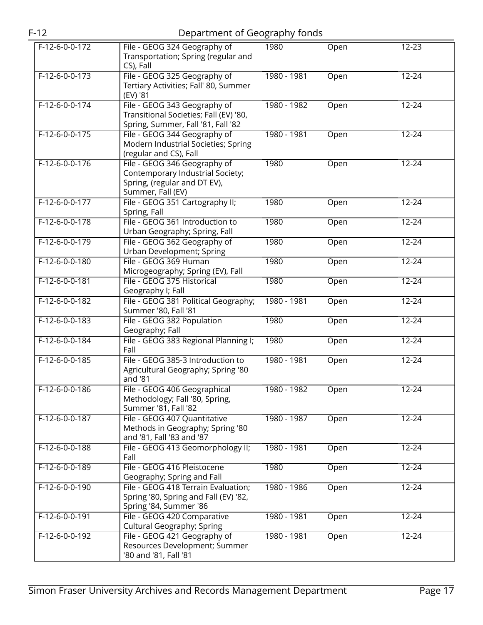|                  |                                                                                                                       | Ō<br>י די   |      |           |
|------------------|-----------------------------------------------------------------------------------------------------------------------|-------------|------|-----------|
| $F-12-6-0-0-172$ | File - GEOG 324 Geography of<br>Transportation; Spring (regular and<br>CS), Fall                                      | 1980        | Open | $12 - 23$ |
| $F-12-6-0-0-173$ | File - GEOG 325 Geography of<br>Tertiary Activities; Fall' 80, Summer<br>(EV) '81                                     | 1980 - 1981 | Open | $12 - 24$ |
| $F-12-6-0-0-174$ | File - GEOG 343 Geography of<br>Transitional Societies; Fall (EV) '80,<br>Spring, Summer, Fall '81, Fall '82          | 1980 - 1982 | Open | $12 - 24$ |
| $F-12-6-0-0-175$ | File - GEOG 344 Geography of<br>Modern Industrial Societies; Spring<br>(regular and CS), Fall                         | 1980 - 1981 | Open | $12 - 24$ |
| $F-12-6-0-0-176$ | File - GEOG 346 Geography of<br>Contemporary Industrial Society;<br>Spring, (regular and DT EV),<br>Summer, Fall (EV) | 1980        | Open | $12 - 24$ |
| $F-12-6-0-0-177$ | File - GEOG 351 Cartography II;<br>Spring, Fall                                                                       | 1980        | Open | $12 - 24$ |
| $F-12-6-0-0-178$ | File - GEOG 361 Introduction to<br>Urban Geography; Spring, Fall                                                      | 1980        | Open | $12 - 24$ |
| $F-12-6-0-0-179$ | File - GEOG 362 Geography of<br>Urban Development; Spring                                                             | 1980        | Open | $12 - 24$ |
| $F-12-6-0-0-180$ | File - GEOG 369 Human<br>Microgeography; Spring (EV), Fall                                                            | 1980        | Open | $12 - 24$ |
| F-12-6-0-0-181   | File - GEOG 375 Historical<br>Geography I; Fall                                                                       | 1980        | Open | $12 - 24$ |
| $F-12-6-0-0-182$ | File - GEOG 381 Political Geography;<br>Summer '80, Fall '81                                                          | 1980 - 1981 | Open | $12 - 24$ |
| $F-12-6-0-0-183$ | File - GEOG 382 Population<br>Geography; Fall                                                                         | 1980        | Open | $12 - 24$ |
| $F-12-6-0-0-184$ | File - GEOG 383 Regional Planning I;<br>Fall                                                                          | 1980        | Open | $12 - 24$ |
| $F-12-6-0-0-185$ | File - GEOG 385-3 Introduction to<br>Agricultural Geography; Spring '80<br>and '81                                    | 1980 - 1981 | Open | $12 - 24$ |
| F-12-6-0-0-186   | File - GEOG 406 Geographical<br>Methodology; Fall '80, Spring,<br>Summer '81, Fall '82                                | 1980 - 1982 | Open | $12 - 24$ |
| $F-12-6-0-0-187$ | File - GEOG 407 Quantitative<br>Methods in Geography; Spring '80<br>and '81, Fall '83 and '87                         | 1980 - 1987 | Open | $12 - 24$ |
| $F-12-6-0-0-188$ | File - GEOG 413 Geomorphology II;<br>Fall                                                                             | 1980 - 1981 | Open | $12 - 24$ |
| F-12-6-0-0-189   | File - GEOG 416 Pleistocene<br>Geography; Spring and Fall                                                             | 1980        | Open | $12 - 24$ |
| F-12-6-0-0-190   | File - GEOG 418 Terrain Evaluation;<br>Spring '80, Spring and Fall (EV) '82,<br>Spring '84, Summer '86                | 1980 - 1986 | Open | $12 - 24$ |
| $F-12-6-0-0-191$ | File - GEOG 420 Comparative<br>Cultural Geography; Spring                                                             | 1980 - 1981 | Open | $12 - 24$ |
| F-12-6-0-0-192   | File - GEOG 421 Geography of<br>Resources Development; Summer<br>'80 and '81, Fall '81                                | 1980 - 1981 | Open | $12 - 24$ |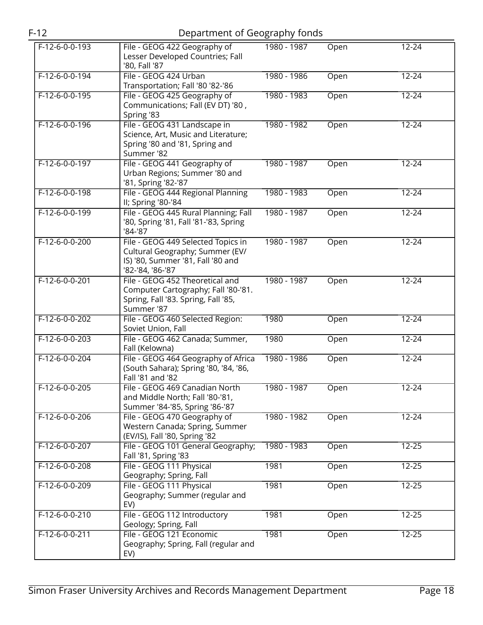| F-12           | Department of Geography fonds                                    |             |      |  |
|----------------|------------------------------------------------------------------|-------------|------|--|
| F-12-6-0-0-193 | File - GEOG 422 Geography of<br>Lesser Developed Countries; Fall | 1980 - 1987 | Open |  |

| F-12-6-0-0-193   | File - GEOG 422 Geography of<br>Lesser Developed Countries; Fall<br>'80, Fall '87                                              | 1980 - 1987 | Open | 12-24     |
|------------------|--------------------------------------------------------------------------------------------------------------------------------|-------------|------|-----------|
| $F-12-6-0-0-194$ | File - GEOG 424 Urban<br>Transportation; Fall '80 '82-'86                                                                      | 1980 - 1986 | Open | $12 - 24$ |
| $F-12-6-0-0-195$ | File - GEOG 425 Geography of<br>Communications; Fall (EV DT) '80,<br>Spring '83                                                | 1980 - 1983 | Open | $12 - 24$ |
| $F-12-6-0-0-196$ | File - GEOG 431 Landscape in<br>Science, Art, Music and Literature;<br>Spring '80 and '81, Spring and<br>Summer '82            | 1980 - 1982 | Open | $12 - 24$ |
| $F-12-6-0-0-197$ | File - GEOG 441 Geography of<br>Urban Regions; Summer '80 and<br>'81, Spring '82-'87                                           | 1980 - 1987 | Open | $12 - 24$ |
| F-12-6-0-0-198   | File - GEOG 444 Regional Planning<br>II; Spring '80-'84                                                                        | 1980 - 1983 | Open | $12 - 24$ |
| $F-12-6-0-0-199$ | File - GEOG 445 Rural Planning; Fall<br>'80, Spring '81, Fall '81-'83, Spring<br>'84-'87                                       | 1980 - 1987 | Open | $12 - 24$ |
| $F-12-6-0-0-200$ | File - GEOG 449 Selected Topics in<br>Cultural Geography; Summer (EV/<br>IS) '80, Summer '81, Fall '80 and<br>'82-'84, '86-'87 | 1980 - 1987 | Open | $12 - 24$ |
| F-12-6-0-0-201   | File - GEOG 452 Theoretical and<br>Computer Cartography; Fall '80-'81.<br>Spring, Fall '83. Spring, Fall '85,<br>Summer '87    | 1980 - 1987 | Open | $12 - 24$ |
| $F-12-6-0-0-202$ | File - GEOG 460 Selected Region:<br>Soviet Union, Fall                                                                         | 1980        | Open | $12 - 24$ |
| F-12-6-0-0-203   | File - GEOG 462 Canada; Summer,<br>Fall (Kelowna)                                                                              | 1980        | Open | $12 - 24$ |
| F-12-6-0-0-204   | File - GEOG 464 Geography of Africa<br>(South Sahara); Spring '80, '84, '86,<br>Fall '81 and '82                               | 1980 - 1986 | Open | $12 - 24$ |
| $F-12-6-0-0-205$ | File - GEOG 469 Canadian North<br>and Middle North; Fall '80-'81,<br>Summer '84-'85, Spring '86-'87                            | 1980 - 1987 | Open | $12 - 24$ |
| $F-12-6-0-0-206$ | File - GEOG 470 Geography of<br>Western Canada; Spring, Summer<br>(EV/IS), Fall '80, Spring '82                                | 1980 - 1982 | Open | $12 - 24$ |
| $F-12-6-0-0-207$ | File - GEOG 101 General Geography;<br>Fall '81, Spring '83                                                                     | 1980 - 1983 | Open | $12 - 25$ |
| F-12-6-0-0-208   | File - GEOG 111 Physical<br>Geography; Spring, Fall                                                                            | 1981        | Open | $12 - 25$ |
| F-12-6-0-0-209   | File - GEOG 111 Physical<br>Geography; Summer (regular and<br>EV)                                                              | 1981        | Open | $12 - 25$ |
| $F-12-6-0-0-210$ | File - GEOG 112 Introductory<br>Geology; Spring, Fall                                                                          | 1981        | Open | $12 - 25$ |
| $F-12-6-0-0-211$ | File - GEOG 121 Economic<br>Geography; Spring, Fall (regular and<br>EV)                                                        | 1981        | Open | $12 - 25$ |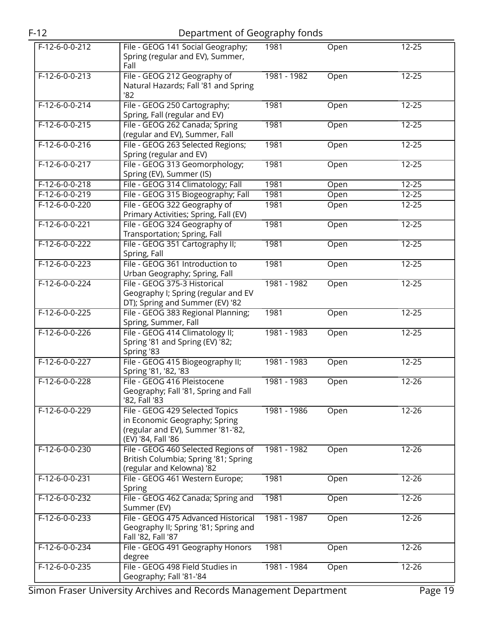| $F-12-6-0-0-212$ | File - GEOG 141 Social Geography;<br>Spring (regular and EV), Summer,<br>Fall                                               | 1981        | Open | $12 - 25$ |
|------------------|-----------------------------------------------------------------------------------------------------------------------------|-------------|------|-----------|
| $F-12-6-0-0-213$ | File - GEOG 212 Geography of<br>Natural Hazards; Fall '81 and Spring<br>82                                                  | 1981 - 1982 | Open | $12 - 25$ |
| $F-12-6-0-0-214$ | File - GEOG 250 Cartography;<br>Spring, Fall (regular and EV)                                                               | 1981        | Open | $12 - 25$ |
| $F-12-6-0-0-215$ | File - GEOG 262 Canada; Spring<br>(regular and EV), Summer, Fall                                                            | 1981        | Open | $12 - 25$ |
| $F-12-6-0-0-216$ | File - GEOG 263 Selected Regions;<br>Spring (regular and EV)                                                                | 1981        | Open | $12 - 25$ |
| $F-12-6-0-0-217$ | File - GEOG 313 Geomorphology;<br>Spring (EV), Summer (IS)                                                                  | 1981        | Open | $12 - 25$ |
| $F-12-6-0-0-218$ | File - GEOG 314 Climatology; Fall                                                                                           | 1981        | Open | $12 - 25$ |
| $F-12-6-0-0-219$ | File - GEOG 315 Biogeography; Fall                                                                                          | 1981        | Open | $12 - 25$ |
| $F-12-6-0-0-220$ | File - GEOG 322 Geography of<br>Primary Activities; Spring, Fall (EV)                                                       | 1981        | Open | 12-25     |
| $F-12-6-0-0-221$ | File - GEOG 324 Geography of<br>Transportation; Spring, Fall                                                                | 1981        | Open | $12 - 25$ |
| $F-12-6-0-0-222$ | File - GEOG 351 Cartography II;<br>Spring, Fall                                                                             | 1981        | Open | $12 - 25$ |
| $F-12-6-0-0-223$ | File - GEOG 361 Introduction to<br>Urban Geography; Spring, Fall                                                            | 1981        | Open | $12 - 25$ |
| $F-12-6-0-0-224$ | File - GEOG 375-3 Historical<br>Geography I; Spring (regular and EV<br>DT); Spring and Summer (EV) '82                      | 1981 - 1982 | Open | $12 - 25$ |
| $F-12-6-0-0-225$ | File - GEOG 383 Regional Planning;<br>Spring, Summer, Fall                                                                  | 1981        | Open | $12 - 25$ |
| $F-12-6-0-0-226$ | File - GEOG 414 Climatology II;<br>Spring '81 and Spring (EV) '82;<br>Spring '83                                            | 1981 - 1983 | Open | $12 - 25$ |
| $F-12-6-0-0-227$ | File - GEOG 415 Biogeography II;<br>Spring '81, '82, '83                                                                    | 1981 - 1983 | Open | $12 - 25$ |
| $F-12-6-0-0-228$ | File - GEOG 416 Pleistocene<br>Geography; Fall '81, Spring and Fall<br>'82, Fall '83                                        | 1981 - 1983 | Open | $12 - 26$ |
| $F-12-6-0-0-229$ | File - GEOG 429 Selected Topics<br>in Economic Geography; Spring<br>(regular and EV), Summer '81-'82,<br>(EV) '84, Fall '86 | 1981 - 1986 | Open | $12 - 26$ |
| $F-12-6-0-0-230$ | File - GEOG 460 Selected Regions of<br>British Columbia; Spring '81; Spring<br>(regular and Kelowna) '82                    | 1981 - 1982 | Open | $12 - 26$ |
| $F-12-6-0-0-231$ | File - GEOG 461 Western Europe;<br>Spring                                                                                   | 1981        | Open | $12 - 26$ |
| F-12-6-0-0-232   | File - GEOG 462 Canada; Spring and<br>Summer (EV)                                                                           | 1981        | Open | 12-26     |
| F-12-6-0-0-233   | File - GEOG 475 Advanced Historical<br>Geography II; Spring '81; Spring and<br>Fall '82, Fall '87                           | 1981 - 1987 | Open | 12-26     |
| $F-12-6-0-0-234$ | File - GEOG 491 Geography Honors<br>degree                                                                                  | 1981        | Open | $12 - 26$ |
| $F-12-6-0-0-235$ | File - GEOG 498 Field Studies in<br>Geography; Fall '81-'84                                                                 | 1981 - 1984 | Open | $12 - 26$ |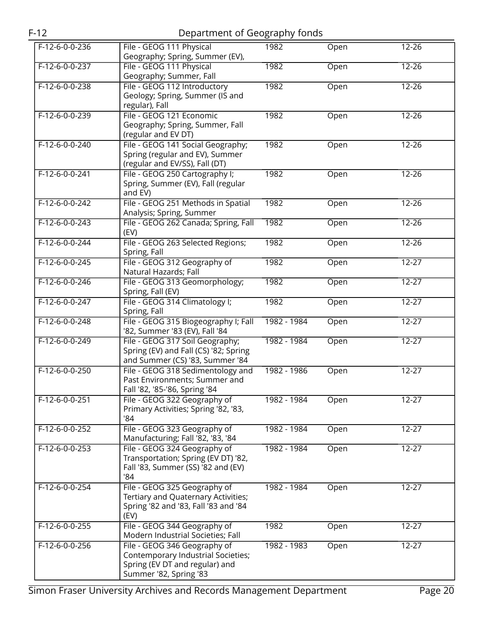| $F-12$           | Department of Geography fonds                                                                                                  |             |      |           |
|------------------|--------------------------------------------------------------------------------------------------------------------------------|-------------|------|-----------|
| $F-12-6-0-0-236$ | File - GEOG 111 Physical<br>Geography; Spring, Summer (EV),                                                                    | 1982        | Open | $12 - 26$ |
| $F-12-6-0-0-237$ | File - GEOG 111 Physical<br>Geography; Summer, Fall                                                                            | 1982        | Open | $12 - 26$ |
| F-12-6-0-0-238   | File - GEOG 112 Introductory<br>Geology; Spring, Summer (IS and<br>regular), Fall                                              | 1982        | Open | $12 - 26$ |
| $F-12-6-0-0-239$ | File - GEOG 121 Economic<br>Geography; Spring, Summer, Fall<br>(regular and EV DT)                                             | 1982        | Open | $12 - 26$ |
| $F-12-6-0-0-240$ | File - GEOG 141 Social Geography;<br>Spring (regular and EV), Summer<br>(regular and EV/SS), Fall (DT)                         | 1982        | Open | $12 - 26$ |
| $F-12-6-0-0-241$ | File - GEOG 250 Cartography I;<br>Spring, Summer (EV), Fall (regular<br>and EV)                                                | 1982        | Open | $12 - 26$ |
| $F-12-6-0-0-242$ | File - GEOG 251 Methods in Spatial<br>Analysis; Spring, Summer                                                                 | 1982        | Open | $12 - 26$ |
| $F-12-6-0-0-243$ | File - GEOG 262 Canada; Spring, Fall<br>(EV)                                                                                   | 1982        | Open | $12 - 26$ |
| $F-12-6-0-0-244$ | File - GEOG 263 Selected Regions;<br>Spring, Fall                                                                              | 1982        | Open | $12 - 26$ |
| $F-12-6-0-0-245$ | File - GEOG 312 Geography of<br>Natural Hazards; Fall                                                                          | 1982        | Open | $12 - 27$ |
| $F-12-6-0-0-246$ | File - GEOG 313 Geomorphology;<br>Spring, Fall (EV)                                                                            | 1982        | Open | $12 - 27$ |
| $F-12-6-0-0-247$ | File - GEOG 314 Climatology I;<br>Spring, Fall                                                                                 | 1982        | Open | $12 - 27$ |
| $F-12-6-0-0-248$ | File - GEOG 315 Biogeography I; Fall<br>'82, Summer '83 (EV), Fall '84                                                         | 1982 - 1984 | Open | $12 - 27$ |
| $F-12-6-0-0-249$ | File - GEOG 317 Soil Geography;<br>Spring (EV) and Fall (CS) '82; Spring<br>and Summer (CS) '83, Summer '84                    | 1982 - 1984 | Open | $12 - 27$ |
| $F-12-6-0-0-250$ | File - GEOG 318 Sedimentology and<br>Past Environments; Summer and<br>Fall '82, '85-'86, Spring '84                            | 1982 - 1986 | Open | $12 - 27$ |
| $F-12-6-0-0-251$ | File - GEOG 322 Geography of<br>Primary Activities; Spring '82, '83,<br>'84                                                    | 1982 - 1984 | Open | $12 - 27$ |
| F-12-6-0-0-252   | File - GEOG 323 Geography of<br>Manufacturing; Fall '82, '83, '84                                                              | 1982 - 1984 | Open | $12 - 27$ |
| $F-12-6-0-0-253$ | File - GEOG 324 Geography of<br>Transportation; Spring (EV DT) '82,<br>Fall '83, Summer (SS) '82 and (EV)<br>'84               | 1982 - 1984 | Open | $12 - 27$ |
| $F-12-6-0-0-254$ | File - GEOG 325 Geography of<br>Tertiary and Quaternary Activities;<br>Spring '82 and '83, Fall '83 and '84<br>(EV)            | 1982 - 1984 | Open | $12 - 27$ |
| $F-12-6-0-0-255$ | File - GEOG 344 Geography of<br>Modern Industrial Societies; Fall                                                              | 1982        | Open | $12 - 27$ |
| $F-12-6-0-0-256$ | File - GEOG 346 Geography of<br>Contemporary Industrial Societies;<br>Spring (EV DT and regular) and<br>Summer '82, Spring '83 | 1982 - 1983 | Open | $12 - 27$ |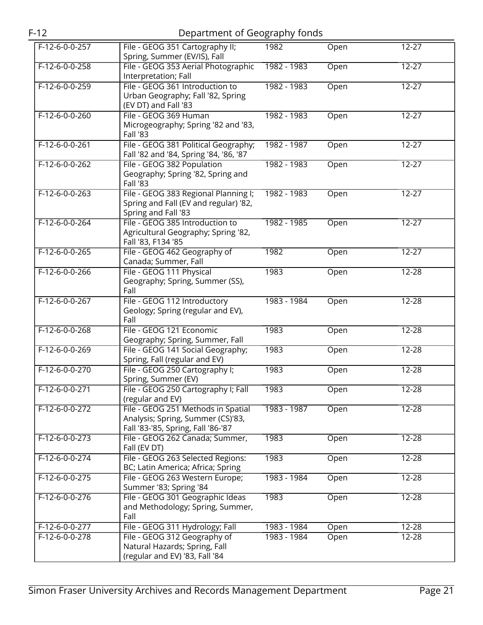|--|--|

| $F-12-6-0-0-257$ | File - GEOG 351 Cartography II;<br>Spring, Summer (EV/IS), Fall                                               | 1982        | Open | $12 - 27$      |
|------------------|---------------------------------------------------------------------------------------------------------------|-------------|------|----------------|
| $F-12-6-0-0-258$ | File - GEOG 353 Aerial Photographic<br>Interpretation; Fall                                                   | 1982 - 1983 | Open | $12 - 27$      |
| $F-12-6-0-0-259$ | File - GEOG 361 Introduction to<br>Urban Geography; Fall '82, Spring<br>(EV DT) and Fall '83                  | 1982 - 1983 | Open | $12 - 27$      |
| $F-12-6-0-0-260$ | File - GEOG 369 Human<br>Microgeography; Spring '82 and '83,<br>Fall '83                                      | 1982 - 1983 | Open | $12 - 27$      |
| $F-12-6-0-0-261$ | File - GEOG 381 Political Geography;<br>Fall '82 and '84, Spring '84, '86, '87                                | 1982 - 1987 | Open | $12 - 27$      |
| F-12-6-0-0-262   | File - GEOG 382 Population<br>Geography; Spring '82, Spring and<br>Fall '83                                   | 1982 - 1983 | Open | $12 - 27$      |
| $F-12-6-0-0-263$ | File - GEOG 383 Regional Planning I;<br>Spring and Fall (EV and regular) '82,<br>Spring and Fall '83          | 1982 - 1983 | Open | $12 - 27$      |
| $F-12-6-0-0-264$ | File - GEOG 385 Introduction to<br>Agricultural Geography; Spring '82,<br>Fall '83, F134 '85                  | 1982 - 1985 | Open | $12 - 27$      |
| $F-12-6-0-0-265$ | File - GEOG 462 Geography of<br>Canada; Summer, Fall                                                          | 1982        | Open | $12 - 27$      |
| $F-12-6-0-0-266$ | File - GEOG 111 Physical<br>Geography; Spring, Summer (SS),<br>Fall                                           | 1983        | Open | $12 - 28$      |
| $F-12-6-0-0-267$ | File - GEOG 112 Introductory<br>Geology; Spring (regular and EV),<br>Fall                                     | 1983 - 1984 | Open | $12 - 28$      |
| F-12-6-0-0-268   | File - GEOG 121 Economic<br>Geography; Spring, Summer, Fall                                                   | 1983        | Open | $\sqrt{12-28}$ |
| $F-12-6-0-0-269$ | File - GEOG 141 Social Geography;<br>Spring, Fall (regular and EV)                                            | 1983        | Open | $12 - 28$      |
| $F-12-6-0-0-270$ | File - GEOG 250 Cartography I;<br>Spring, Summer (EV)                                                         | 1983        | Open | 12-28          |
| $F-12-6-0-0-271$ | File - GEOG 250 Cartography I; Fall<br>(regular and EV)                                                       | 1983        | Open | 12-28          |
| $F-12-6-0-0-272$ | File - GEOG 251 Methods in Spatial<br>Analysis; Spring, Summer (CS)'83,<br>Fall '83-'85, Spring, Fall '86-'87 | 1983 - 1987 | Open | $12 - 28$      |
| $F-12-6-0-0-273$ | File - GEOG 262 Canada; Summer,<br>Fall (EV DT)                                                               | 1983        | Open | $12 - 28$      |
| $F-12-6-0-0-274$ | File - GEOG 263 Selected Regions:<br>BC; Latin America; Africa; Spring                                        | 1983        | Open | $12 - 28$      |
| $F-12-6-0-0-275$ | File - GEOG 263 Western Europe;<br>Summer '83; Spring '84                                                     | 1983 - 1984 | Open | $12 - 28$      |
| F-12-6-0-0-276   | File - GEOG 301 Geographic Ideas<br>and Methodology; Spring, Summer,<br>Fall                                  | 1983        | Open | 12-28          |
| F-12-6-0-0-277   | File - GEOG 311 Hydrology; Fall                                                                               | 1983 - 1984 | Open | 12-28          |
| $F-12-6-0-0-278$ | File - GEOG 312 Geography of<br>Natural Hazards; Spring, Fall<br>(regular and EV) '83, Fall '84               | 1983 - 1984 | Open | 12-28          |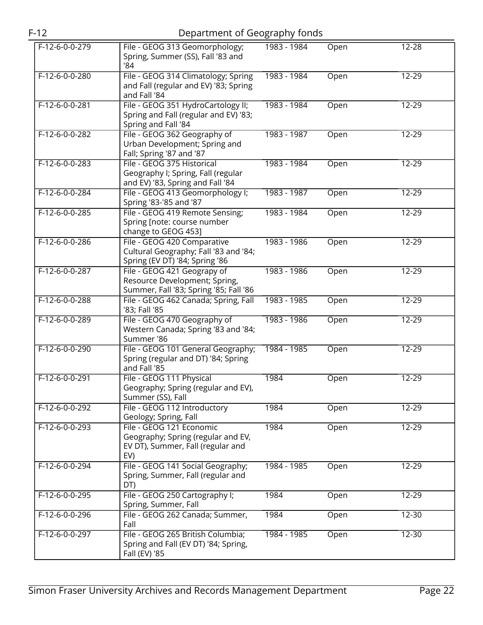| $F-12$           | Department of Geography fonds                                                                              |             |      |           |
|------------------|------------------------------------------------------------------------------------------------------------|-------------|------|-----------|
| $F-12-6-0-0-279$ | File - GEOG 313 Geomorphology;<br>Spring, Summer (SS), Fall '83 and<br>'84                                 | 1983 - 1984 | Open | $12 - 28$ |
| $F-12-6-0-0-280$ | File - GEOG 314 Climatology; Spring<br>and Fall (regular and EV) '83; Spring<br>and Fall '84               | 1983 - 1984 | Open | 12-29     |
| F-12-6-0-0-281   | File - GEOG 351 HydroCartology II;<br>Spring and Fall (regular and EV) '83;<br>Spring and Fall '84         | 1983 - 1984 | Open | $12 - 29$ |
| $F-12-6-0-0-282$ | File - GEOG 362 Geography of<br>Urban Development; Spring and<br>Fall; Spring '87 and '87                  | 1983 - 1987 | Open | $12 - 29$ |
| $F-12-6-0-0-283$ | File - GEOG 375 Historical<br>Geography I; Spring, Fall (regular<br>and EV) '83, Spring and Fall '84       | 1983 - 1984 | Open | 12-29     |
| $F-12-6-0-0-284$ | File - GEOG 413 Geomorphology I;<br>Spring '83-'85 and '87                                                 | 1983 - 1987 | Open | $12 - 29$ |
| $F-12-6-0-0-285$ | File - GEOG 419 Remote Sensing;<br>Spring [note: course number<br>change to GEOG 453]                      | 1983 - 1984 | Open | $12 - 29$ |
| $F-12-6-0-0-286$ | File - GEOG 420 Comparative<br>Cultural Geography; Fall '83 and '84;<br>Spring (EV DT) '84; Spring '86     | 1983 - 1986 | Open | 12-29     |
| F-12-6-0-0-287   | File - GEOG 421 Geograpy of<br>Resource Development; Spring,<br>Summer, Fall '83; Spring '85; Fall '86     | 1983 - 1986 | Open | 12-29     |
| $F-12-6-0-0-288$ | File - GEOG 462 Canada; Spring, Fall<br>'83; Fall '85                                                      | 1983 - 1985 | Open | $12 - 29$ |
| $F-12-6-0-0-289$ | File - GEOG 470 Geography of<br>Western Canada; Spring '83 and '84;<br>Summer '86                          | 1983 - 1986 | Open | 12-29     |
| $F-12-6-0-0-290$ | File - GEOG 101 General Geography;<br>Spring (regular and DT) '84; Spring<br>and Fall '85                  | 1984 - 1985 | Open | $12 - 29$ |
| $F-12-6-0-0-291$ | File - GEOG 111 Physical<br>Geography; Spring (regular and EV),<br>Summer (SS), Fall                       | 1984        | Open | $12 - 29$ |
| F-12-6-0-0-292   | File - GEOG 112 Introductory<br>Geology; Spring, Fall                                                      | 1984        | Open | 12-29     |
| F-12-6-0-0-293   | File - GEOG 121 Economic<br>Geography; Spring (regular and EV,<br>EV DT), Summer, Fall (regular and<br>EV) | 1984        | Open | 12-29     |
| $F-12-6-0-0-294$ | File - GEOG 141 Social Geography;<br>Spring, Summer, Fall (regular and<br>DT)                              | 1984 - 1985 | Open | $12 - 29$ |
| F-12-6-0-0-295   | File - GEOG 250 Cartography I;<br>Spring, Summer, Fall                                                     | 1984        | Open | 12-29     |
| F-12-6-0-0-296   | File - GEOG 262 Canada; Summer,<br>Fall                                                                    | 1984        | Open | $12 - 30$ |
| $F-12-6-0-0-297$ | File - GEOG 265 British Columbia;<br>Spring and Fall (EV DT) '84; Spring,<br>Fall (EV) '85                 | 1984 - 1985 | Open | 12-30     |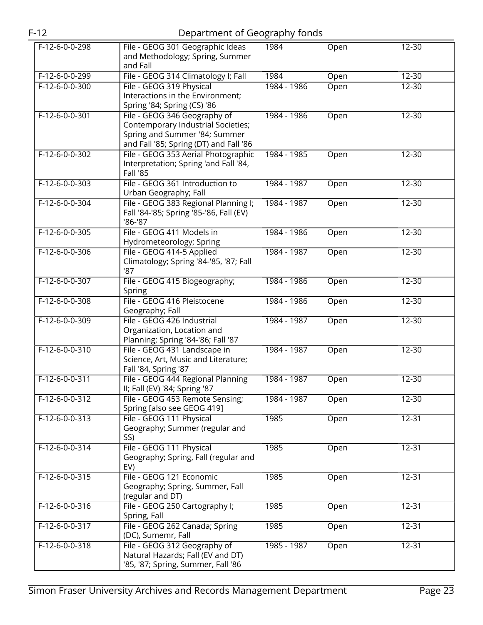|                  |                                                                                                                                               | ں           |      |           |
|------------------|-----------------------------------------------------------------------------------------------------------------------------------------------|-------------|------|-----------|
| $F-12-6-0-0-298$ | File - GEOG 301 Geographic Ideas<br>and Methodology; Spring, Summer                                                                           | 1984        | Open | 12-30     |
|                  | and Fall                                                                                                                                      |             |      |           |
| $F-12-6-0-0-299$ | File - GEOG 314 Climatology I; Fall                                                                                                           | 1984        | Open | $12 - 30$ |
| $F-12-6-0-0-300$ | File - GEOG 319 Physical<br>Interactions in the Environment;<br>Spring '84; Spring (CS) '86                                                   | 1984 - 1986 | Open | $12 - 30$ |
| $F-12-6-0-0-301$ | File - GEOG 346 Geography of<br>Contemporary Industrial Societies;<br>Spring and Summer '84; Summer<br>and Fall '85; Spring (DT) and Fall '86 | 1984 - 1986 | Open | $12 - 30$ |
| $F-12-6-0-0-302$ | File - GEOG 353 Aerial Photographic<br>Interpretation; Spring 'and Fall '84,<br><b>Fall '85</b>                                               | 1984 - 1985 | Open | $12 - 30$ |
| $F-12-6-0-0-303$ | File - GEOG 361 Introduction to<br>Urban Geography; Fall                                                                                      | 1984 - 1987 | Open | $12 - 30$ |
| $F-12-6-0-0-304$ | File - GEOG 383 Regional Planning I;<br>Fall '84-'85; Spring '85-'86, Fall (EV)<br>'86-'87                                                    | 1984 - 1987 | Open | $12 - 30$ |
| $F-12-6-0-0-305$ | File - GEOG 411 Models in<br>Hydrometeorology; Spring                                                                                         | 1984 - 1986 | Open | $12 - 30$ |
| $F-12-6-0-0-306$ | File - GEOG 414-5 Applied<br>Climatology; Spring '84-'85, '87; Fall<br>'87                                                                    | 1984 - 1987 | Open | $12 - 30$ |
| $F-12-6-0-0-307$ | File - GEOG 415 Biogeography;<br>Spring                                                                                                       | 1984 - 1986 | Open | $12 - 30$ |
| $F-12-6-0-0-308$ | File - GEOG 416 Pleistocene<br>Geography; Fall                                                                                                | 1984 - 1986 | Open | $12 - 30$ |
| $F-12-6-0-0-309$ | File - GEOG 426 Industrial<br>Organization, Location and<br>Planning; Spring '84-'86; Fall '87                                                | 1984 - 1987 | Open | $12 - 30$ |
| $F-12-6-0-0-310$ | File - GEOG 431 Landscape in<br>Science, Art, Music and Literature;<br>Fall '84, Spring '87                                                   | 1984 - 1987 | Open | $12 - 30$ |
| F-12-6-0-0-311   | File - GEOG 444 Regional Planning<br>II; Fall (EV) '84; Spring '87                                                                            | 1984 - 1987 | Open | $12 - 30$ |
| $F-12-6-0-0-312$ | File - GEOG 453 Remote Sensing;<br>Spring [also see GEOG 419]                                                                                 | 1984 - 1987 | Open | 12-30     |
| $F-12-6-0-0-313$ | File - GEOG 111 Physical<br>Geography; Summer (regular and<br>SS)                                                                             | 1985        | Open | $12 - 31$ |
| $F-12-6-0-0-314$ | File - GEOG 111 Physical<br>Geography; Spring, Fall (regular and<br>EV)                                                                       | 1985        | Open | $12 - 31$ |
| $F-12-6-0-0-315$ | File - GEOG 121 Economic<br>Geography; Spring, Summer, Fall<br>(regular and DT)                                                               | 1985        | Open | 12-31     |
| $F-12-6-0-0-316$ | File - GEOG 250 Cartography I;<br>Spring, Fall                                                                                                | 1985        | Open | $12 - 31$ |
| F-12-6-0-0-317   | File - GEOG 262 Canada; Spring<br>(DC), Sumemr, Fall                                                                                          | 1985        | Open | $12 - 31$ |
| $F-12-6-0-0-318$ | File - GEOG 312 Geography of<br>Natural Hazards; Fall (EV and DT)<br>'85, '87; Spring, Summer, Fall '86                                       | 1985 - 1987 | Open | $12 - 31$ |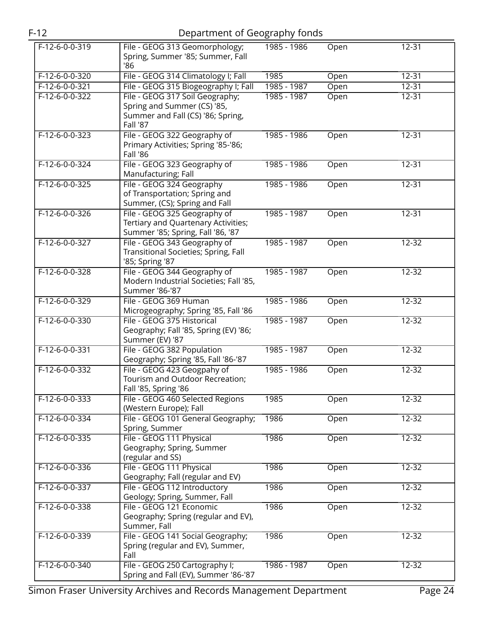| $F-12-6-0-0-319$ | File - GEOG 313 Geomorphology;<br>Spring, Summer '85; Summer, Fall | 1985 - 1986 | Open | $12 - 31$ |
|------------------|--------------------------------------------------------------------|-------------|------|-----------|
|                  | '86                                                                |             |      |           |
| $F-12-6-0-0-320$ | File - GEOG 314 Climatology I; Fall                                | 1985        | Open | $12 - 31$ |
| F-12-6-0-0-321   | File - GEOG 315 Biogeography I; Fall                               | 1985 - 1987 | Open | $12 - 31$ |
| $F-12-6-0-0-322$ | File - GEOG 317 Soil Geography;                                    | 1985 - 1987 | Open | $12 - 31$ |
|                  | Spring and Summer (CS) '85,                                        |             |      |           |
|                  | Summer and Fall (CS) '86; Spring,                                  |             |      |           |
|                  | Fall '87                                                           |             |      |           |
| $F-12-6-0-0-323$ | File - GEOG 322 Geography of                                       | 1985 - 1986 | Open | $12 - 31$ |
|                  | Primary Activities; Spring '85-'86;                                |             |      |           |
|                  | <b>Fall '86</b>                                                    |             |      |           |
| F-12-6-0-0-324   | File - GEOG 323 Geography of                                       | 1985 - 1986 | Open | $12 - 31$ |
| $F-12-6-0-0-325$ | Manufacturing; Fall<br>File - GEOG 324 Geography                   | 1985 - 1986 | Open | $12 - 31$ |
|                  | of Transportation; Spring and                                      |             |      |           |
|                  | Summer, (CS); Spring and Fall                                      |             |      |           |
| $F-12-6-0-0-326$ | File - GEOG 325 Geography of                                       | 1985 - 1987 | Open | $12 - 31$ |
|                  | Tertiary and Quartenary Activities;                                |             |      |           |
|                  | Summer '85; Spring, Fall '86, '87                                  |             |      |           |
| F-12-6-0-0-327   | File - GEOG 343 Geography of                                       | 1985 - 1987 | Open | $12 - 32$ |
|                  | Transitional Societies; Spring, Fall                               |             |      |           |
|                  | '85; Spring '87                                                    |             |      |           |
| $F-12-6-0-0-328$ | File - GEOG 344 Geography of                                       | 1985 - 1987 | Open | $12 - 32$ |
|                  | Modern Industrial Societies; Fall '85,                             |             |      |           |
|                  | Summer '86-'87                                                     |             |      |           |
| $F-12-6-0-0-329$ | File - GEOG 369 Human                                              | 1985 - 1986 | Open | $12 - 32$ |
|                  | Microgeography; Spring '85, Fall '86                               |             |      |           |
| F-12-6-0-0-330   | File - GEOG 375 Historical                                         | 1985 - 1987 | Open | $12 - 32$ |
|                  | Geography; Fall '85, Spring (EV) '86;<br>Summer (EV) '87           |             |      |           |
| $F-12-6-0-0-331$ | File - GEOG 382 Population                                         | 1985 - 1987 | Open | $12 - 32$ |
|                  | Geography; Spring '85, Fall '86-'87                                |             |      |           |
| F-12-6-0-0-332   | File - GEOG 423 Geogpahy of                                        | 1985 - 1986 | Open | 12-32     |
|                  | Tourism and Outdoor Recreation;                                    |             |      |           |
|                  | Fall '85, Spring '86                                               |             |      |           |
| $F-12-6-0-0-333$ | File - GEOG 460 Selected Regions                                   | 1985        | Open | 12-32     |
|                  | (Western Europe); Fall                                             |             |      |           |
| $F-12-6-0-0-334$ | File - GEOG 101 General Geography;                                 | 1986        | Open | $12 - 32$ |
|                  | Spring, Summer                                                     |             |      |           |
| $F-12-6-0-0-335$ | File - GEOG 111 Physical                                           | 1986        | Open | $12 - 32$ |
|                  | Geography; Spring, Summer<br>(regular and SS)                      |             |      |           |
| F-12-6-0-0-336   | File - GEOG 111 Physical                                           | 1986        |      | $12 - 32$ |
|                  | Geography; Fall (regular and EV)                                   |             | Open |           |
| $F-12-6-0-0-337$ | File - GEOG 112 Introductory                                       | 1986        | Open | $12 - 32$ |
|                  | Geology; Spring, Summer, Fall                                      |             |      |           |
| $F-12-6-0-0-338$ | File - GEOG 121 Economic                                           | 1986        | Open | 12-32     |
|                  | Geography; Spring (regular and EV),                                |             |      |           |
|                  | Summer, Fall                                                       |             |      |           |
| F-12-6-0-0-339   | File - GEOG 141 Social Geography;                                  | 1986        | Open | $12 - 32$ |
|                  | Spring (regular and EV), Summer,                                   |             |      |           |
|                  | Fall                                                               |             |      |           |
| $F-12-6-0-0-340$ | File - GEOG 250 Cartography I;                                     | 1986 - 1987 | Open | 12-32     |
|                  | Spring and Fall (EV), Summer '86-'87                               |             |      |           |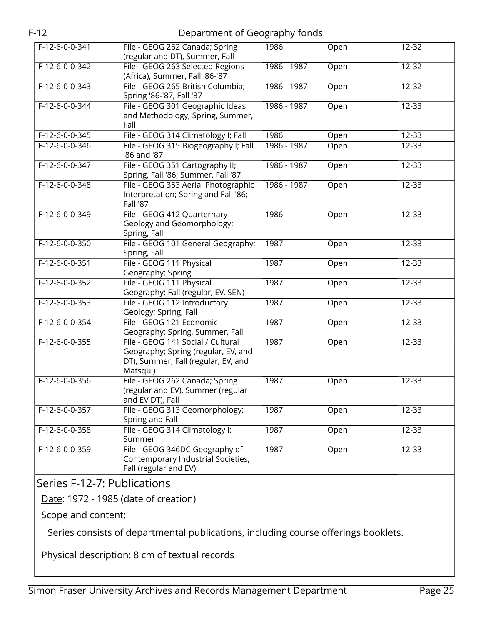| F-12-6-0-0-341   | File - GEOG 262 Canada; Spring<br>(regular and DT), Summer, Fall                                                            | 1986        | Open | $12 - 32$ |
|------------------|-----------------------------------------------------------------------------------------------------------------------------|-------------|------|-----------|
| $F-12-6-0-0-342$ | File - GEOG 263 Selected Regions<br>(Africa); Summer, Fall '86-'87                                                          | 1986 - 1987 | Open | $12 - 32$ |
| F-12-6-0-0-343   | File - GEOG 265 British Columbia;<br>Spring '86-'87, Fall '87                                                               | 1986 - 1987 | Open | $12 - 32$ |
| $F-12-6-0-0-344$ | File - GEOG 301 Geographic Ideas<br>and Methodology; Spring, Summer,<br>Fall                                                | 1986 - 1987 | Open | $12 - 33$ |
| $F-12-6-0-0-345$ | File - GEOG 314 Climatology I; Fall                                                                                         | 1986        | Open | $12 - 33$ |
| F-12-6-0-0-346   | File - GEOG 315 Biogeography I; Fall<br>'86 and '87                                                                         | 1986 - 1987 | Open | $12 - 33$ |
| $F-12-6-0-0-347$ | File - GEOG 351 Cartography II;<br>Spring, Fall '86; Summer, Fall '87                                                       | 1986 - 1987 | Open | $12 - 33$ |
| $F-12-6-0-0-348$ | File - GEOG 353 Aerial Photographic<br>Interpretation; Spring and Fall '86;<br><b>Fall '87</b>                              | 1986 - 1987 | Open | $12 - 33$ |
| F-12-6-0-0-349   | File - GEOG 412 Quarternary<br>Geology and Geomorphology;<br>Spring, Fall                                                   | 1986        | Open | $12 - 33$ |
| $F-12-6-0-0-350$ | File - GEOG 101 General Geography;<br>Spring, Fall                                                                          | 1987        | Open | $12 - 33$ |
| $F-12-6-0-0-351$ | File - GEOG 111 Physical<br>Geography; Spring                                                                               | 1987        | Open | $12 - 33$ |
| $F-12-6-0-0-352$ | File - GEOG 111 Physical<br>Geography; Fall (regular, EV, SEN)                                                              | 1987        | Open | $12 - 33$ |
| $F-12-6-0-0-353$ | File - GEOG 112 Introductory<br>Geology; Spring, Fall                                                                       | 1987        | Open | $12 - 33$ |
| $F-12-6-0-0-354$ | File - GEOG 121 Economic<br>Geography; Spring, Summer, Fall                                                                 | 1987        | Open | 12-33     |
| $F-12-6-0-0-355$ | File - GEOG 141 Social / Cultural<br>Geography; Spring (regular, EV, and<br>DT), Summer, Fall (regular, EV, and<br>Matsqui) | 1987        | Open | $12 - 33$ |
| $F-12-6-0-0-356$ | File - GEOG 262 Canada; Spring<br>(regular and EV), Summer (regular<br>and EV DT), Fall                                     | 1987        | Open | 12-33     |
| $F-12-6-0-0-357$ | File - GEOG 313 Geomorphology;<br>Spring and Fall                                                                           | 1987        | Open | $12 - 33$ |
| F-12-6-0-0-358   | File - GEOG 314 Climatology I;<br>Summer                                                                                    | 1987        | Open | $12 - 33$ |
| $F-12-6-0-0-359$ | File - GEOG 346DC Geography of<br>Contemporary Industrial Societies;<br>Fall (regular and EV)                               | 1987        | Open | $12 - 33$ |

### <span id="page-24-0"></span>Series F-12-7: Publications

Date: 1972 - 1985 (date of creation)

Scope and content:

Series consists of departmental publications, including course offerings booklets.

Physical description: 8 cm of textual records